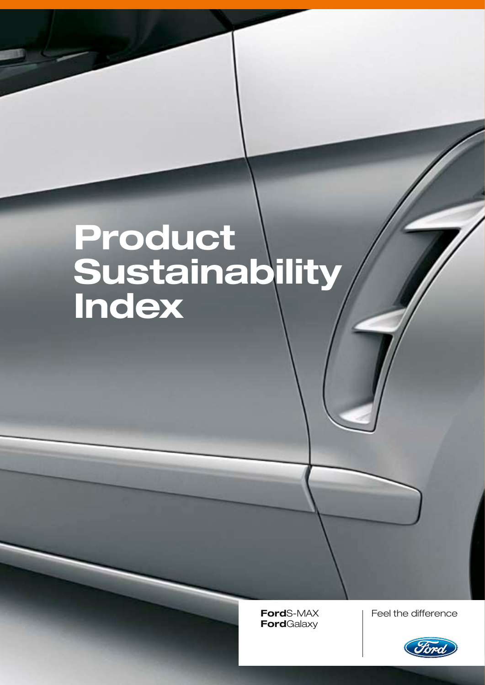# Product **Sustainability** Index

**Ford**Galaxy

Feel the difference

**Ford**S-MAX Feel the difference

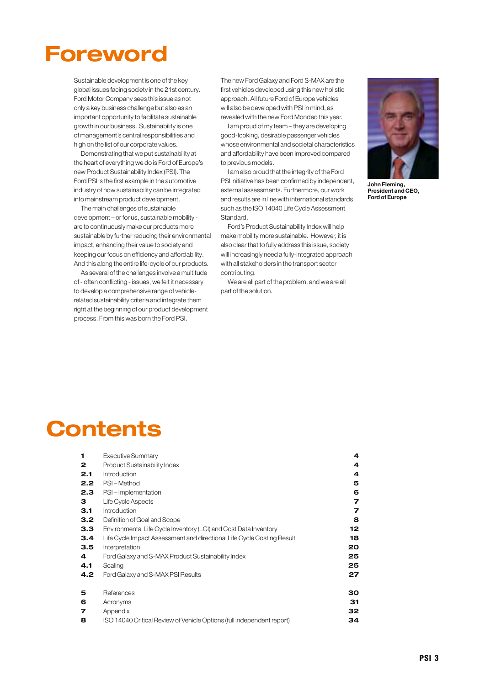## **Foreword**

Sustainable development is one of the key global issues facing society in the 21st century. Ford Motor Company sees this issue as not only a key business challenge but also as an important opportunity to facilitate sustainable growth in our business. Sustainability is one of management's central responsibilities and high on the list of our corporate values.

Demonstrating that we put sustainability at the heart of everything we do is Ford of Europe's new Product Sustainability Index (PSI). The Ford PSI is the first example in the automotive industry of how sustainability can be integrated into mainstream product development.

The main challenges of sustainable development – or for us, sustainable mobility are to continuously make our products more sustainable by further reducing their environmental impact, enhancing their value to society and keeping our focus on efficiency and affordability. And this along the entire life-cycle of our products.

As several of the challenges involve a multitude of- often conflicting -issues, we felt it necessary to develop a comprehensive range of vehiclerelated sustainability criteria and integrate them right at the beginning of our product development process. From this was born the Ford PSI.

The new Ford Galaxy and Ford S-MAX are the first vehicles developed using this new holistic approach. All future Ford of Europe vehicles will also be developed with PSI in mind, as revealed with the new Ford Mondeo this year.

I am proud of my team – they are developing good-looking, desirable passenger vehicles whose environmental and societal characteristics and affordability have been improved compared to previous models.

I am also proud that the integrity of the Ford PSI initiative has been confirmed by independent, external assessments. Furthermore, our work and results are in line with international standards such as the ISO 14040 Life Cycle Assessment Standard.

Ford's Product Sustainability Index will help make mobility more sustainable. However, it is also clear that to fully address this issue, society will increasingly need a fully-integrated approach with all stakeholders in the transport sector contributing.

We are all part of the problem, and we are all part of the solution.



John Fleming, President and CEO, Ford of Europe

## **Contents**

| 1                | Executive Summary                                                      | 4  |
|------------------|------------------------------------------------------------------------|----|
| 2                | Product Sustainability Index                                           | 4  |
| 2.1              | Introduction                                                           | 4  |
| 2.2              | PSI-Method                                                             | 5  |
| 2.3              | PSI-Implementation                                                     | 6  |
| з                | Life Cycle Aspects                                                     | 7  |
| 3.1              | Introduction                                                           | 7  |
| 3.2 <sub>2</sub> | Definition of Goal and Scope                                           | 8  |
| 3.3              | Environmental Life Cycle Inventory (LCI) and Cost Data Inventory       | 12 |
| 3.4              | Life Cycle Impact Assessment and directional Life Cycle Costing Result | 18 |
| 3.5              | Interpretation                                                         | 20 |
| 4                | Ford Galaxy and S-MAX Product Sustainability Index                     | 25 |
| 4.1              | Scaling                                                                | 25 |
| 4.2              | Ford Galaxy and S-MAX PSI Results                                      | 27 |
| 5                | References                                                             | 30 |
| 6                | Acronyms                                                               | 31 |
| 7                | Appendix                                                               | 32 |
| 8                | ISO 14040 Critical Review of Vehicle Options (full independent report) | 34 |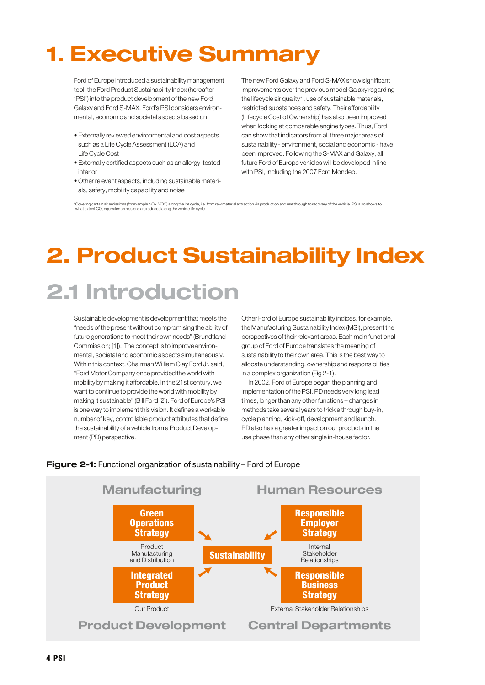# 1. Executive Summary

Ford of Europe introduced a sustainability management tool, the Ford Product Sustainability Index (hereafter 'PSI') into the product development of the new Ford Galaxy and Ford S-MAX. Ford's PSI considers environmental, economic and societal aspects based on:

- Externally reviewed environmental and cost aspects such as a Life Cycle Assessment (LCA) and Life Cycle Cost
- Externally certified aspects such as an allergy-tested interior
- Other relevant aspects, including sustainable materials, safety, mobility capability and noise

The new Ford Galaxy and Ford S-MAX show significant improvements over the previous model Galaxy regarding the lifecycle air quality\*, use of sustainable materials, restricted substances and safety. Their affordability (Lifecycle Cost of Ownership) has also been improved when looking at comparable engine types. Thus, Ford can show that indicators from all three major areas of sustainability - environment, social and economic - have been improved. Following the S-MAX and Galaxy, all future Ford of Europe vehicles will be developed in line with PSI, including the 2007 Ford Mondeo.

\*Covering certain air emissions (for example NOx, VOC) along the life cycle, i.e. from raw material extraction via production and use through to recovery of the vehicle. PSI also shows to what extent CO<sub>2</sub> equivalent emissions are reduced along the vehicle life cycle.

# 2. Product Sustainability Index 2.1 Introduction

Sustainable development is development that meets the "needs of the present without compromising the ability of future generations to meet their own needs"(Brundtland Commission; [1]). The concept is to improve environmental, societal and economic aspects simultaneously. Within this context, Chairman William Clay Ford Jr. said, "Ford Motor Company once provided the world with mobility by making it affordable. In the 21st century, we want to continue to provide the world with mobility by making it sustainable"(Bill Ford [2]). Ford of Europe's PSI is one way to implement this vision. It defines a workable number of key, controllable product attributes that define the sustainability of a vehicle from a Product Development (PD) perspective.

Other Ford of Europe sustainability indices, for example, the Manufacturing Sustainability Index (MSI), present the perspectives of their relevant areas. Each main functional group of Ford of Europe translates the meaning of sustainability to their own area. This is the best way to allocate understanding, ownership and responsibilities in a complex organization (Fig 2-1).

In 2002, Ford of Europe began the planning and implementation of the PSI. PD needs very long lead times, longer than any other functions – changes in methods take several years to trickle through buy-in, cycle planning, kick-off, development and launch. PDalso has a greater impact on our products in the use phase than any other single in-house factor.



#### **Figure 2-1:** Functional organization of sustainability – Ford of Europe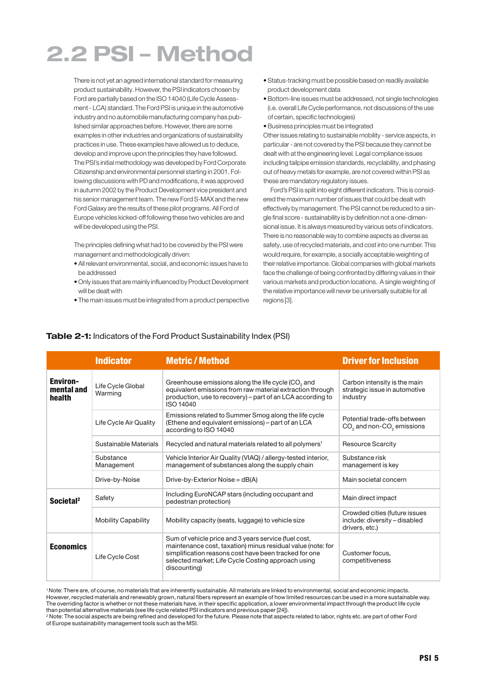# 2.2 PSI – Method

There is not yet an agreed international standard for measuring product sustainability. However, the PSI indicators chosen by Ford are partially based on the ISO 14040 (Life Cycle Assessment- LCA) standard. The Ford PSI is unique in the automotive industry and no automobile manufacturing company has published similar approaches before. However, there are some examples in other industries and organizations of sustainability practices in use. These examples have allowed us to deduce, develop and improve upon the principles they have followed. The PSI's initial methodology was developed by Ford Corporate Citizenship and environmental personnel starting in 2001. Following discussions with PD and modifications, it was approved in autumn 2002 by the Product Development vice president and his senior management team. The new Ford S-MAX and the new Ford Galaxy are the results of these pilot programs. All Ford of Europe vehicles kicked-off following these two vehicles are and will be developed using the PSI.

The principles defining what had to be covered by the PSI were management and methodologically driven:

- All relevant environmental, social, and economic issues have to be addressed
- Only issues that are mainly influenced by Product Development will be dealt with
- The main issues must be integrated from a product perspective
- Status-tracking must be possible based on readily available product development data
- Bottom-line issues must be addressed, not single technologies (i.e. overall Life Cycle performance, not discussions of the use of certain, specific technologies)
- Business principles must be integrated

Other issues relating to sustainable mobility - service aspects, in particular- are not covered by the PSI because they cannot be dealt with at the engineering level. Legal compliance issues including tailpipe emission standards, recyclability, and phasing out of heavy metals for example, are not covered within PSI as these are mandatory regulatory issues.

Ford's PSI is split into eight different indicators. This is considered the maximum number of issues that could be dealt with effectively by management. The PSI cannot be reduced to a single final score - sustainability is by definition not a one-dimensional issue. It is always measured by various sets of indicators. There is no reasonable way to combine aspects as diverse as safety, use of recycled materials, and cost into one number. This would require, for example, a socially acceptable weighting of their relative importance. Global companies with global markets face the challenge of being confronted by differing values in their various markets and production locations. A single weighting of the relative importance will never be universally suitable for all regions [3].

|                                         | <b>Indicator</b>             | <b>Metric / Method</b>                                                                                                                                                                                                                             | <b>Driver for Inclusion</b>                                                      |
|-----------------------------------------|------------------------------|----------------------------------------------------------------------------------------------------------------------------------------------------------------------------------------------------------------------------------------------------|----------------------------------------------------------------------------------|
| <b>Environ-</b><br>mental and<br>health | Life Cycle Global<br>Warming | Greenhouse emissions along the life cycle (CO <sub>2</sub> and<br>equivalent emissions from raw material extraction through<br>production, use to recovery) – part of an LCA according to<br>ISO 14040                                             | Carbon intensity is the main<br>strategic issue in automotive<br>industry        |
|                                         | Life Cycle Air Quality       | Emissions related to Summer Smog along the life cycle<br>(Ethene and equivalent emissions) - part of an LCA<br>according to ISO 14040                                                                                                              | Potential trade-offs between<br>$CO2$ and non- $CO2$ emissions                   |
|                                         | Sustainable Materials        | Recycled and natural materials related to all polymers <sup>1</sup>                                                                                                                                                                                | Resource Scarcity                                                                |
|                                         | Substance<br>Management      | Vehicle Interior Air Quality (VIAQ) / allergy-tested interior,<br>management of substances along the supply chain                                                                                                                                  | Substance risk<br>management is key                                              |
|                                         | Drive-by-Noise               | Drive-by-Exterior Noise = $dB(A)$                                                                                                                                                                                                                  | Main societal concern                                                            |
| Societal <sup>2</sup>                   | Safety                       | Including EuroNCAP stars (including occupant and<br>pedestrian protection)                                                                                                                                                                         | Main direct impact                                                               |
|                                         | <b>Mobility Capability</b>   | Mobility capacity (seats, luggage) to vehicle size                                                                                                                                                                                                 | Crowded cities (future issues<br>include: diversity - disabled<br>drivers, etc.) |
| <b>Economics</b>                        | Life Cycle Cost              | Sum of vehicle price and 3 years service (fuel cost,<br>maintenance cost, taxation) minus residual value (note: for<br>simplification reasons cost have been tracked for one<br>selected market; Life Cycle Costing approach using<br>discounting) | Customer focus.<br>competitiveness                                               |

#### **Table 2-1:** Indicators of the Ford Product Sustainability Index (PSI)

1 Note: There are, of course, no materials that are inherently sustainable. All materials are linked to environmental, social and economic impacts. However, recycled materials and renewably grown, natural fibers represent an example of how limited resources can be used in a more sustainable way. The overriding factor is whether or not these materials have, in their specific application, a lower environmental impact through the product life cycle than potential alternative materials (see life cycle related PSI indicators and previous paper [24]).

2 Note: The social aspects are being refined and developed for the future. Please note that aspects related to labor, rights etc. are part of other Ford of Europe sustainability management tools such as the MSI.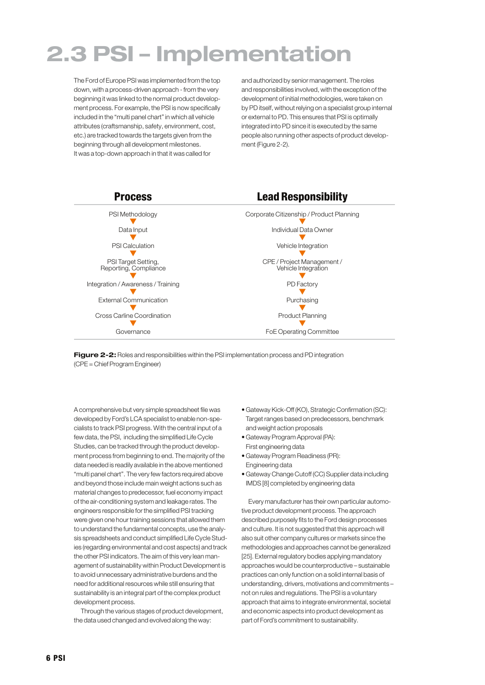## 2.3 PSI – Implementation

The Ford of Europe PSI was implemented from the top down, with a process-driven approach - from the very beginning it was linked to the normal product development process. For example, the PSI is now specifically included in the "multi panel chart"in which all vehicle attributes (craftsmanship, safety, environment, cost, etc.) are tracked towards the targets given from the beginning through all development milestones. It was a top-down approach in that it was called for

and authorized by senior management. The roles and responsibilities involved, with the exception of the development of initial methodologies, were taken on by PDitself, without relying on a specialist group internal or external to PD. This ensures that PSI is optimally integrated into PD since it is executed by the same people also running other aspects of product development (Figure 2-2).



Figure 2-2: Roles and responsibilities within the PSI implementation process and PD integration (CPE = Chief Program Engineer)

A comprehensive but very simple spreadsheet file was developed by Ford's LCA specialist to enable non-specialists to track PSI progress. With the central input of a few data, the PSI, including the simplified Life Cycle Studies, can be tracked through the product development process from beginning to end. The majority of the data needed is readily available in the above mentioned "multi panel chart". The very few factors required above and beyond those include main weight actions such as material changes to predecessor, fuel economy impact of the air-conditioning system and leakage rates. The engineers responsible for the simplified PSI tracking were given one hour training sessions that allowed them to understand the fundamental concepts, use the analysis spreadsheets and conduct simplified Life Cycle Studies (regarding environmental and cost aspects) and track the other PSI indicators. The aim of this very lean management of sustainability within Product Development is to avoid unnecessary administrative burdens and the need for additional resources while still ensuring that sustainability is an integral part of the complex product development process.

Through the various stages of product development, the data used changed and evolved along the way:

- Gateway Kick-Off (KO), Strategic Confirmation (SC): Target ranges based on predecessors, benchmark and weight action proposals
- Gateway Program Approval (PA): First engineering data
- Gateway Program Readiness (PR): Engineering data
- Gateway Change Cutoff (CC) Supplier data including IMDS [8] completed by engineering data

Every manufacturer has their own particular automotive product development process. The approach described purposely fits to the Ford design processes and culture. It is not suggested that this approach will also suit other company cultures or markets since the methodologies and approaches cannot be generalized [25]. External regulatory bodies applying mandatory approaches would be counterproductive – sustainable practices can only function on a solid internal basis of understanding, drivers, motivations and commitments – not on rules and regulations. The PSI is a voluntary approach that aims to integrate environmental, societal and economic aspects into product development as part of Ford's commitment to sustainability.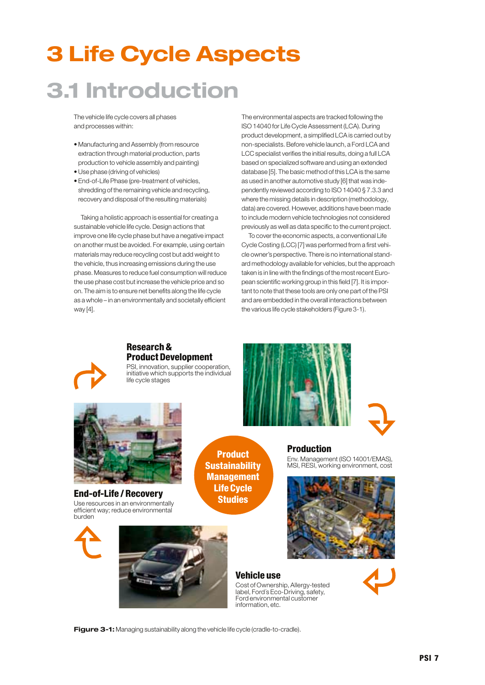# 3 Life Cycle Aspects 3.1 Introduction

The vehicle life cycle covers all phases and processes within:

- Manufacturing and Assembly (from resource extraction through material production, parts production to vehicle assembly and painting)
- Use phase (driving of vehicles)
- End-of-Life Phase (pre-treatment of vehicles, shredding of the remaining vehicle and recycling, recovery and disposal of the resulting materials)

Taking a holistic approach is essential for creating a sustainable vehicle life cycle. Design actions that improve one life cycle phase but have a negative impact on another must be avoided. For example, using certain materials may reduce recycling cost but add weight to the vehicle, thus increasing emissions during the use phase. Measures to reduce fuel consumption will reduce the use phase cost but increase the vehicle price and so on. The aim is to ensure net benefits along the life cycle as a whole – in an environmentally and societally efficient way [4].

The environmental aspects are tracked following the ISO 14040 for Life Cycle Assessment (LCA). During product development, a simplified LCA is carried out by non-specialists. Before vehicle launch, a Ford LCA and LCC specialist verifies the initial results, doing a full LCA based on specialized software and using an extended database [5]. The basic method of this LCA is the same as used in another automotive study [6] that was independently reviewed according to ISO 14040 § 7.3.3 and where the missing details in description (methodology, data) are covered. However, additions have been made to include modern vehicle technologies not considered previously as well as data specific to the current project.

To cover the economic aspects, a conventional Life Cycle Costing (LCC) [7] was performed from a first vehicle owner's perspective. There is no international standard methodology available for vehicles, but the approach taken is in line with the findings of the most recent European scientific working group in this field [7]. It is important to note that these tools are only one part of the PSI and are embedded in the overall interactions between the various life cycle stakeholders (Figure 3-1).



### Research & Product Development

PSI, innovation, supplier cooperation, initiative which supports the individual life cycle stages





End-of-Life / Recovery Use resources in an environmentally efficient way; reduce environmental burden

Product **Sustainability** Management Life Cycle Studies

Production

MSI, RESI, working environment, cost





Cost of Ownership, Allergy-tested label, Ford´s Eco-Driving, safety, Ford environmental customer information, etc.

Env. Management (ISO 14001/EMAS),



**Figure 3-1:** Managing sustainability along the vehicle life cycle (cradle-to-cradle).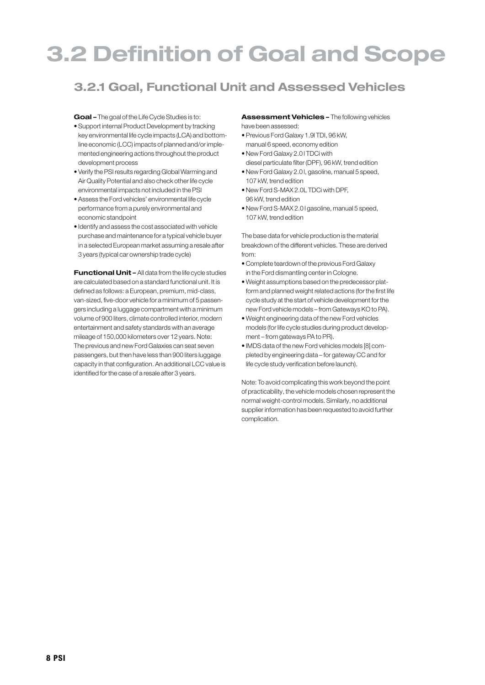# 3.2 Definition of Goal and Scope

## 3.2.1 Goal, Functional Unit and Assessed Vehicles

**Goal –** The goal of the Life Cycle Studies is to:

- Support internal Product Development by tracking key environmental life cycle impacts (LCA) and bottomline economic (LCC) impacts of planned and/or implemented engineering actions throughout the product development process
- Verify the PSI results regarding Global Warming and Air Quality Potential and also check other life cycle environmental impacts not included in the PSI
- Assess the Ford vehicles' environmental life cycle performance from a purely environmental and economic standpoint
- Identify and assess the cost associated with vehicle purchase and maintenance for a typical vehicle buyer in a selected European market assuming a resale after 3 years (typical car ownership trade cycle)

**Functional Unit –** All data from the life cycle studies are calculated based on a standard functional unit. It is defined as follows: a European, premium, mid-class, van-sized, five-door vehicle for a minimum of 5 passengers including a luggage compartment with a minimum volume of 900 liters, climate controlled interior, modern entertainment and safety standards with an average mileage of 150,000 kilometers over 12 years. Note: The previous and new Ford Galaxies can seat seven passengers, but then have less than 900 liters luggage capacity in that configuration. An additional LCC value is identified for the case of a resale after 3 years.

**Assessment Vehicles –** The following vehicles have been assessed:

- Previous Ford Galaxy 1.9l TDI, 96 kW, manual 6 speed, economy edition
- New Ford Galaxy 2.0 l TDCi with
- diesel particulate filter (DPF), 96 kW, trend edition • New Ford Galaxy 2.0 l, gasoline, manual 5 speed, 107 kW, trend edition
- New Ford S-MAX 2.0L TDCi with DPF, 96 kW, trend edition
- New Ford S-MAX 2.0 l gasoline, manual 5 speed, 107 kW, trend edition

The base data for vehicle production is the material breakdown of the different vehicles. These are derived from:

- Complete teardown of the previous Ford Galaxy in the Ford dismantling center in Cologne.
- Weight assumptions based on the predecessor platform and planned weight related actions (for the first life cycle study at the start of vehicle development for the new Ford vehicle models – from Gateways KO to PA).
- Weight engineering data of the new Ford vehicles models (for life cycle studies during product development – from gateways PA to PR).
- IMDS data of the new Ford vehicles models [8] completed by engineering data – for gateway CC and for life cycle study verification before launch).

Note: To avoid complicating this work beyond the point of practicability, the vehicle models chosen represent the normal weight-control models. Similarly, no additional supplier information has been requested to avoid further complication.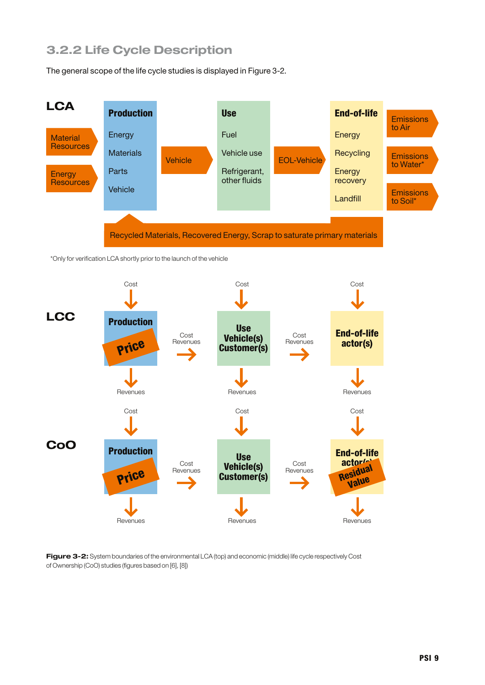## 3.2.2 Life Cycle Description

The general scope of the life cycle studies is displayed in Figure 3-2.



\*Only for verification LCA shortly prior to the launch of the vehicle



**Figure 3-2:** System boundaries of the environmental LCA (top) and economic (middle) life cycle respectively Cost of Ownership (CoO) studies (figures based on [6], [8])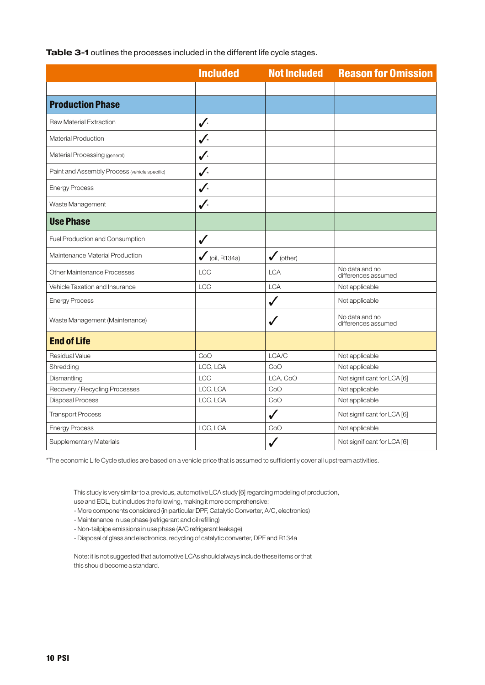**Table 3-1** outlines the processes included in the different life cycle stages.

|                                               | <b>Included</b>           | <b>Not Included</b>  | <b>Reason for Omission</b>            |
|-----------------------------------------------|---------------------------|----------------------|---------------------------------------|
|                                               |                           |                      |                                       |
| <b>Production Phase</b>                       |                           |                      |                                       |
| Raw Material Extraction                       | $\checkmark$              |                      |                                       |
| <b>Material Production</b>                    | $\checkmark$              |                      |                                       |
| Material Processing (general)                 | $\boldsymbol{J}$          |                      |                                       |
| Paint and Assembly Process (vehicle specific) | $\checkmark$              |                      |                                       |
| <b>Energy Process</b>                         | $\checkmark$              |                      |                                       |
| Waste Management                              | $\checkmark$              |                      |                                       |
| <b>Use Phase</b>                              |                           |                      |                                       |
| Fuel Production and Consumption               | ✓                         |                      |                                       |
| Maintenance Material Production               | $\checkmark$ (oil, R134a) | $\checkmark$ (other) |                                       |
| Other Maintenance Processes                   | LCC                       | <b>LCA</b>           | No data and no<br>differences assumed |
| Vehicle Taxation and Insurance                | LCC                       | <b>LCA</b>           | Not applicable                        |
| <b>Energy Process</b>                         |                           | $\checkmark$         | Not applicable                        |
| Waste Management (Maintenance)                |                           | ✓                    | No data and no<br>differences assumed |
| <b>End of Life</b>                            |                           |                      |                                       |
| <b>Residual Value</b>                         | CoO                       | LCA/C                | Not applicable                        |
| Shredding                                     | LCC, LCA                  | CoO                  | Not applicable                        |
| Dismantling                                   | LCC                       | LCA, CoO             | Not significant for LCA [6]           |
| Recovery / Recycling Processes                | LCC, LCA                  | CoO                  | Not applicable                        |
| <b>Disposal Process</b>                       | LCC, LCA                  | CoO                  | Not applicable                        |
| <b>Transport Process</b>                      |                           | $\checkmark$         | Not significant for LCA [6]           |
| <b>Energy Process</b>                         | LCC, LCA                  | CoO                  | Not applicable                        |
| Supplementary Materials                       |                           |                      | Not significant for LCA [6]           |

\*The economic Life Cycle studies are based on a vehicle price that is assumed to sufficiently cover all upstream activities.

This study is very similar to a previous, automotive LCA study [6] regarding modeling of production, use and EOL, but includes the following, making it more comprehensive:

- More components considered (in particular DPF, Catalytic Converter, A/C, electronics)

- Maintenance in use phase (refrigerant and oil refilling)

- Non-tailpipe emissions in use phase (A/C refrigerant leakage)

- Disposal of glass and electronics, recycling of catalytic converter, DPF and R134a

Note: it is not suggested that automotive LCAs should always include these items or that this should become a standard.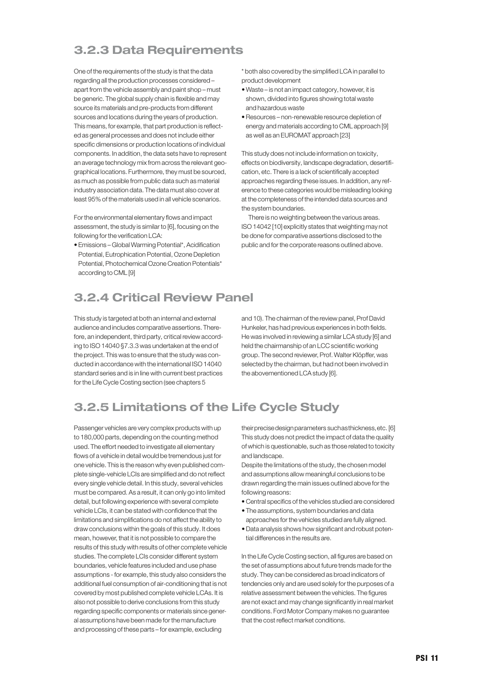## 3.2.3 Data Requirements

One of the requirements of the study is that the data regarding all the production processes considered – apart from the vehicle assembly and paint shop – must be generic. The global supply chain is flexible and may source its materials and pre-products from different sources and locations during the years of production. This means, for example, that part production is reflected as general processes and does not include either specific dimensions or production locations of individual components. In addition, the data sets have to represent an average technology mix from across the relevant geographical locations. Furthermore, they must be sourced, as much as possible from public data such as material industry association data. The data must also cover at least 95% of the materials used in all vehicle scenarios.

For the environmental elementary flows and impact assessment, the study is similar to [6], focusing on the following for the verification LCA:

• Emissions – Global Warming Potential\*, Acidification Potential, Eutrophication Potential, Ozone Depletion Potential, Photochemical Ozone Creation Potentials\* according to CML [9]

\* both also covered by the simplified LCA in parallel to product development

- Waste is not an impact category, however, it is shown, divided into figures showing total waste and hazardous waste
- Resources non-renewable resource depletion of energy and materials according to CML approach [9] as well as an EUROMAT approach [23]

This study does not include information on toxicity, effects on biodiversity, landscape degradation, desertification, etc. There is a lack of scientifically accepted approaches regarding these issues. In addition, any reference to these categories would be misleading looking at the completeness of the intended data sources and the system boundaries.

There is no weighting between the various areas. ISO 14042 [10] explicitly states that weighting may not be done for comparative assertions disclosed to the public and for the corporate reasons outlined above.

## 3.2.4 Critical Review Panel

This study is targeted at both an internal and external audience and includes comparative assertions. Therefore, an independent, third party, critical review according to ISO 14040 §7.3.3 was undertaken at the end of the project. This was to ensure that the study was conducted in accordance with the international ISO 14040 standard series and is in line with current best practices for the Life Cycle Costing section (see chapters 5

and 10). The chairman of the review panel, ProfDavid Hunkeler, has had previous experiences in both fields. He was involved in reviewing a similar LCA study [6] and held the chairmanship of an LCC scientific working group. The second reviewer, Prof. Walter Klöpffer, was selected by the chairman, but had not been involved in the abovementioned LCA study [6].

## 3.2.5 Limitations of the Life Cycle Study

Passenger vehicles are very complex products with up to 180,000 parts, depending on the counting method used. The effort needed to investigate all elementary flows of a vehicle in detail would be tremendous just for one vehicle. This is the reason why even published complete single-vehicle LCIs are simplified and do not reflect every single vehicle detail. In this study, several vehicles must be compared. As a result, it can only go into limited detail, but following experience with several complete vehicle LCIs, it can be stated with confidence that the limitations and simplifications do not affect the ability to draw conclusions within the goals of this study. It does mean, however, that it is not possible to compare the results of this study with results of other complete vehicle studies. The complete LCIs consider different system boundaries, vehicle features included and use phase assumptions - for example, this study also considers the additional fuel consumption of air-conditioning that is not covered by most published complete vehicle LCAs. It is also not possible to derive conclusions from this study regarding specific components or materials since general assumptions have been made for the manufacture and processing of these parts – for example, excluding

theirprecisedesignparameters suchasthickness,etc. [6] This study does not predict the impact of data the quality of which is questionable, such as those related to toxicity and landscape.

Despite the limitations of the study, the chosen model and assumptions allow meaningful conclusions to be drawn regarding the main issues outlined above for the following reasons:

- Central specifics of the vehicles studied are considered
- The assumptions, system boundaries and data approaches for the vehicles studied are fully aligned.
- Data analysis shows how significant and robust potential differences in the results are.

In the Life Cycle Costing section, all figures are based on the set of assumptions about future trends made for the study. They can be considered as broad indicators of tendencies only and are used solely for the purposes of a relative assessment between the vehicles. The figures are not exact and may change significantly in real market conditions. Ford Motor Company makes no guarantee that the cost reflect market conditions.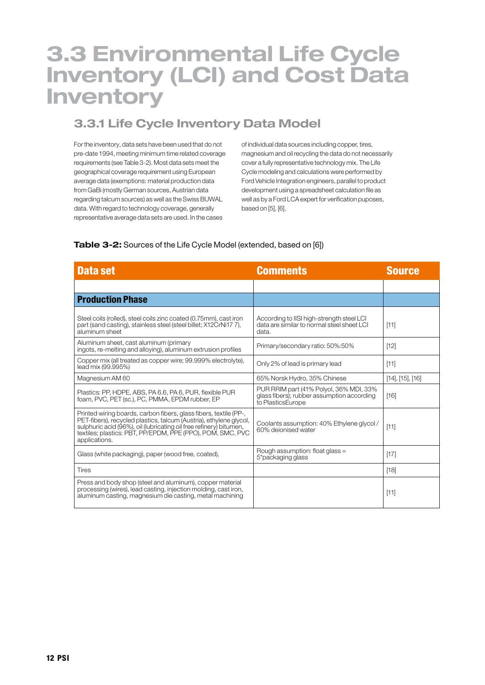## 3.3 Environmental Life Cycle Inventory (LCI) and Cost Data Inventory

## 3.3.1 Life Cycle Inventory Data Model

For the inventory, data sets have been used that do not pre-date 1994, meeting minimum time related coverage requirements (see Table 3-2). Most data sets meet the geographical coverage requirement using European average data (exemptions: material production data from GaBi (mostly German sources, Austrian data regarding talcum sources) as well as the Swiss BUWAL data. With regard to technology coverage, generally representative average data sets are used. In the cases

of individual data sources including copper, tires, magnesium and oil recycling the data do not necessarily cover a fully representative technology mix. The Life Cycle modeling and calculations were performed by Ford Vehicle Integration engineers, parallel to product development using a spreadsheet calculation file as well as by a Ford LCA expert for verification puposes, based on [5], [6].

### **Table 3-2:** Sources of the Life Cycle Model (extended, based on [6])

| Data set                                                                                                                                                                                                                                                                                     | <b>Comments</b>                                                                                            | <b>Source</b>            |
|----------------------------------------------------------------------------------------------------------------------------------------------------------------------------------------------------------------------------------------------------------------------------------------------|------------------------------------------------------------------------------------------------------------|--------------------------|
|                                                                                                                                                                                                                                                                                              |                                                                                                            |                          |
| <b>Production Phase</b>                                                                                                                                                                                                                                                                      |                                                                                                            |                          |
| Steel coils (rolled), steel coils zinc coated (0.75mm), cast iron<br>part (sand casting), stainless steel (steel billet; X12CrNi17 7),<br>aluminum sheet                                                                                                                                     | According to IISI high-strength steel LCI<br>data are similar to normal steel sheet LCI<br>data.           | $[11]$                   |
| Aluminum sheet, cast aluminum (primary<br>ingots, re-melting and alloying), aluminum extrusion profiles                                                                                                                                                                                      | Primary/secondary ratio: 50%:50%                                                                           | $[12]$                   |
| Copper mix (all treated as copper wire; 99.999% electrolyte),<br>lead mix (99.995%)                                                                                                                                                                                                          | Only 2% of lead is primary lead                                                                            | [11]                     |
| Magnesium AM 60                                                                                                                                                                                                                                                                              | 65% Norsk Hydro, 35% Chinese                                                                               | $[14]$ , $[15]$ , $[16]$ |
| Plastics: PP, HDPE, ABS, PA 6.6, PA 6, PUR, flexible PUR<br>foam, PVC, PET (sc.), PC, PMMA, EPDM rubber, EP                                                                                                                                                                                  | PUR RRIM part (41% Polyol, 36% MDI, 33%<br>glass fibers); rubber assumption according<br>to PlasticsEurope | [16]                     |
| Printed wiring boards, carbon fibers, glass fibers, textile (PP-,<br>PET-fibers), recycled plastics, talcum (Austria), ethylene glycol,<br>sulphuric acid (96%), oil (lubricating oil free refinery) bitumen,<br>textiles; plastics: PBT, PP/EPDM, PPE (PPO), POM, SMC, PVC<br>applications. | Coolants assumption: 40% Ethylene glycol/<br>60% dejonised water                                           | $[11]$                   |
| Glass (white packaging), paper (wood free, coated),                                                                                                                                                                                                                                          | Rough assumption: float glass =<br>5*packaging glass                                                       | $[17]$                   |
| <b>Tires</b>                                                                                                                                                                                                                                                                                 |                                                                                                            | [18]                     |
| Press and body shop (steel and aluminum), copper material<br>processing (wires), lead casting, injection molding, cast iron,<br>aluminum casting, magnesium die casting, metal machining                                                                                                     |                                                                                                            | $[11]$                   |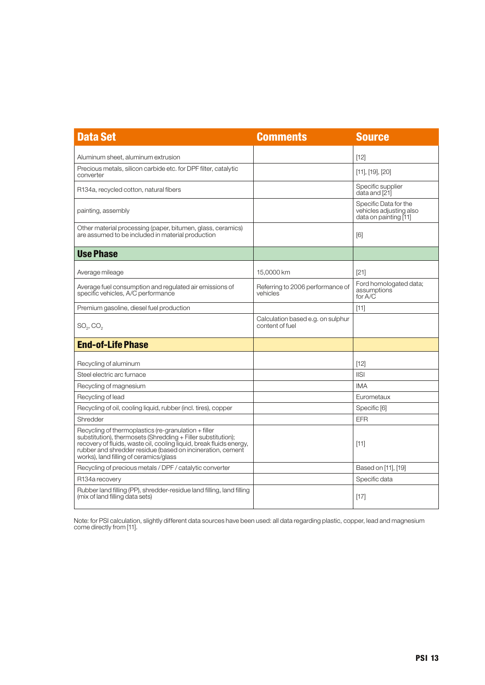| <b>Data Set</b>                                                                                                                                                                                                                                                                                       | <b>Comments</b>                                      | <b>Source</b>                                                             |
|-------------------------------------------------------------------------------------------------------------------------------------------------------------------------------------------------------------------------------------------------------------------------------------------------------|------------------------------------------------------|---------------------------------------------------------------------------|
| Aluminum sheet, aluminum extrusion                                                                                                                                                                                                                                                                    |                                                      | [12]                                                                      |
| Precious metals, silicon carbide etc. for DPF filter, catalytic<br>converter                                                                                                                                                                                                                          |                                                      | $[11]$ , $[19]$ , $[20]$                                                  |
| R134a, recycled cotton, natural fibers                                                                                                                                                                                                                                                                |                                                      | Specific supplier<br>data and [21]                                        |
| painting, assembly                                                                                                                                                                                                                                                                                    |                                                      | Specific Data for the<br>vehicles adjusting also<br>data on painting [11] |
| Other material processing (paper, bitumen, glass, ceramics)<br>are assumed to be included in material production                                                                                                                                                                                      |                                                      | [6]                                                                       |
| <b>Use Phase</b>                                                                                                                                                                                                                                                                                      |                                                      |                                                                           |
| Average mileage                                                                                                                                                                                                                                                                                       | 15.0000 km                                           | [21]                                                                      |
| Average fuel consumption and regulated air emissions of<br>specific vehicles, A/C performance                                                                                                                                                                                                         | Referring to 2006 performance of<br>vehicles         | Ford homologated data;<br>assumptions<br>for A/C                          |
| Premium gasoline, diesel fuel production                                                                                                                                                                                                                                                              |                                                      | $[11]$                                                                    |
| $SO_2, CO_2$                                                                                                                                                                                                                                                                                          | Calculation based e.g. on sulphur<br>content of fuel |                                                                           |
| <b>End-of-Life Phase</b>                                                                                                                                                                                                                                                                              |                                                      |                                                                           |
| Recycling of aluminum                                                                                                                                                                                                                                                                                 |                                                      | [12]                                                                      |
| Steel electric arc furnace                                                                                                                                                                                                                                                                            |                                                      | <b>IISI</b>                                                               |
| Recycling of magnesium                                                                                                                                                                                                                                                                                |                                                      | <b>IMA</b>                                                                |
| Recycling of lead                                                                                                                                                                                                                                                                                     |                                                      | Eurometaux                                                                |
| Recycling of oil, cooling liquid, rubber (incl. tires), copper                                                                                                                                                                                                                                        |                                                      | Specific <sup>[6]</sup>                                                   |
| Shredder                                                                                                                                                                                                                                                                                              |                                                      | EFR                                                                       |
| Recycling of thermoplastics (re-granulation $+$ filler<br>substitution), thermosets (Shredding + Filler substitution);<br>recovery of fluids, waste oil, cooling liquid, break fluids energy,<br>rubber and shredder residue (based on incineration, cement<br>works), land filling of ceramics/glass |                                                      | [11]                                                                      |
| Recycling of precious metals / DPF / catalytic converter                                                                                                                                                                                                                                              |                                                      | Based on [11], [19]                                                       |
| R134a recovery                                                                                                                                                                                                                                                                                        |                                                      | Specific data                                                             |
| Rubber land filling (PP), shredder-residue land filling, land filling<br>(mix of land filling data sets)                                                                                                                                                                                              |                                                      | $[17]$                                                                    |

Note: for PSI calculation, slightly different data sources have been used: all data regarding plastic, copper, lead and magnesium come directly from [11].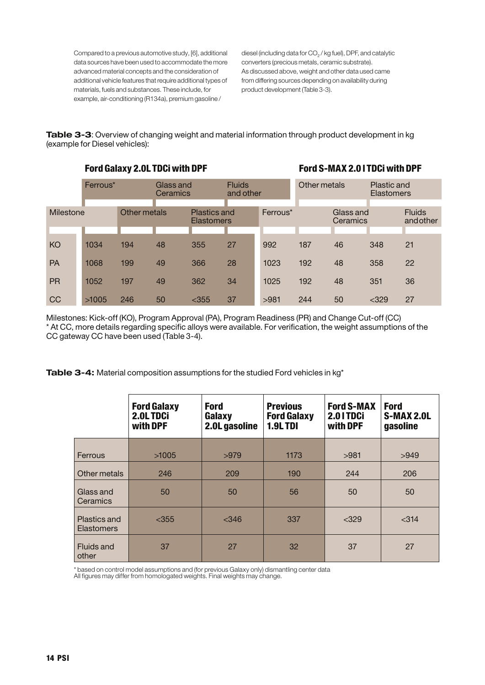Compared to a previous automotive study, [6], additional data sources have been used to accommodate the more advanced material concepts and the consideration of additional vehicle features that require additional types of materials, fuels and substances. These include, for example, air-conditioning (R134a), premium gasoline /

diesel (including data for CO<sub>2</sub> / kg fuel), DPF, and catalytic converters (precious metals, ceramic substrate). As discussed above, weight and other data used came from differing sources depending on availability during product development (Table 3-3).

**Table 3-3**: Overview of changing weight and material information through product development in kg (example for Diesel vehicles):

|           | <b>Ford Galaxy 2.0L TDCi with DPF</b> |              |                       |                                   |                            | Ford S-MAX 2.0 I TDCi with DPF |              |                       |                           |                            |
|-----------|---------------------------------------|--------------|-----------------------|-----------------------------------|----------------------------|--------------------------------|--------------|-----------------------|---------------------------|----------------------------|
|           | Ferrous*                              |              | Glass and<br>Ceramics |                                   | <b>Fluids</b><br>and other |                                | Other metals |                       | Plastic and<br>Elastomers |                            |
| Milestone |                                       | Other metals |                       | Plastics and<br><b>Elastomers</b> |                            | Ferrous*                       |              | Glass and<br>Ceramics |                           | <b>Fluids</b><br>and other |
|           |                                       |              |                       |                                   |                            |                                |              |                       |                           |                            |
| KO        | 1034                                  | 194          | 48                    | 355                               | 27                         | 992                            | 187          | 46                    | 348                       | 21                         |
| <b>PA</b> | 1068                                  | 199          | 49                    | 366                               | 28                         | 1023                           | 192          | 48                    | 358                       | 22                         |
| <b>PR</b> | 1052                                  | 197          | 49                    | 362                               | 34                         | 1025                           | 192          | 48                    | 351                       | 36                         |
| <b>CC</b> | >1005                                 | 246          | 50                    | $<$ 355                           | 37                         | >981                           | 244          | 50                    | $<$ 329                   | 27                         |

Milestones: Kick-off (KO), Program Approval (PA), Program Readiness (PR) and Change Cut-off (CC) \* At CC, more details regarding specific alloys were available. For verification, the weight assumptions of the CC gateway CC have been used (Table 3-4).

**Table 3-4:** Material composition assumptions for the studied Ford vehicles in kg\*

|                                   | <b>Ford Galaxy</b><br>2.0LTDCi<br>with DPF | <b>Ford</b><br>Galaxy<br>2.0L gasoline | <b>Previous</b><br><b>Ford Galaxy</b><br><b>1.9LTDI</b> | <b>Ford S-MAX</b><br>2.01TDCi<br>with DPF | <b>Ford</b><br><b>S-MAX 2.0L</b><br>gasoline |
|-----------------------------------|--------------------------------------------|----------------------------------------|---------------------------------------------------------|-------------------------------------------|----------------------------------------------|
| Ferrous                           | >1005                                      | >979                                   | 1173                                                    | >981                                      | >949                                         |
| Other metals                      | 246                                        | 209                                    | 190                                                     | 244                                       | 206                                          |
| Glass and<br>Ceramics             | 50                                         | 50                                     | 56                                                      | 50                                        | 50                                           |
| Plastics and<br><b>Elastomers</b> | $<$ 355                                    | $<$ 346                                | 337                                                     | $<$ 329                                   | < 314                                        |
| <b>Fluids and</b><br>other        | 37                                         | 27                                     | 32                                                      | 37                                        | 27                                           |

\* based on control model assumptions and (for previous Galaxy only) dismantling center data All figures may differ from homologated weights. Final weights may change.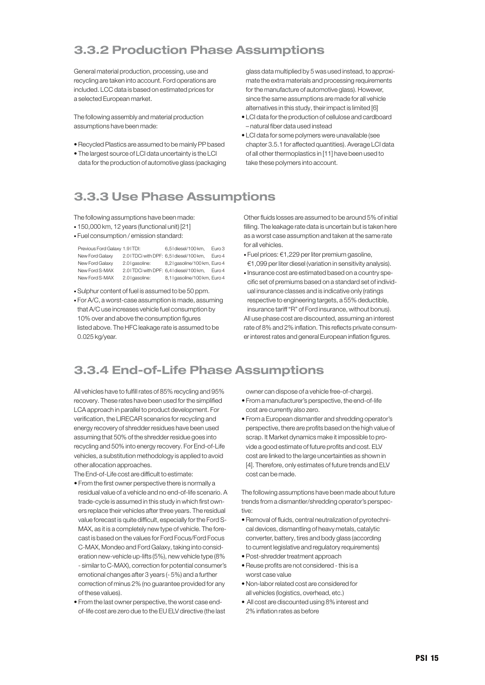## 3.3.2 Production Phase Assumptions

General material production, processing, use and recycling are taken into account. Ford operations are included. LCC data is based on estimated prices for a selected European market.

The following assembly and material production assumptions have been made:

- Recycled Plastics are assumed to be mainly PP based
- The largest source of LCI data uncertainty is the LCI data for the production of automotive glass (packaging

glass data multiplied by 5 was used instead, to approximate the extra materials and processing requirements for the manufacture of automotive glass). However, since the same assumptions are made for all vehicle alternatives in this study, their impact is limited [6]

- LCI data for the production of cellulose and cardboard – natural fiber data used instead
- LCI data for some polymers were unavailable (see chapter 3.5.1 for affected quantities). Average LCI data of all other thermoplastics in [11] have been used to take these polymers into account.

## 3.3.3 Use Phase Assumptions

The following assumptions have been made:

- 150,000 km, 12 years (functional unit) [21]
- Fuel consumption / emission standard:

| Previous Ford Galaxy 1.91TDI: |                                        | 6.5 I diesel/100 km.                   | Euro <sub>3</sub> |
|-------------------------------|----------------------------------------|----------------------------------------|-------------------|
| New Ford Galaxy               | 2.01TDCi with DPF: 6,51 diesel/100 km, |                                        | Euro 4            |
| New Ford Galaxy               | 2.0 I gasoline:                        | 8,21 gasoline/100 km, Euro 4           |                   |
| New Ford S-MAX                |                                        | 2.01TDCi with DPF: 6,41 diesel/100 km, | Euro 4            |
| New Ford S-MAX                | 2.0 I gasoline:                        | 8,1 I gasoline/100 km, Euro 4          |                   |

- Sulphur content of fuel is assumed to be 50 ppm.
- For A/C, a worst-case assumption is made, assuming that A/C use increases vehicle fuel consumption by 10% over and above the consumption figures listed above. The HFC leakage rate is assumed to be 0.025 kg/year.

Other fluids losses are assumed to be around 5% of initial filling. The leakage rate data is uncertain but is taken here as a worst case assumption and taken at the same rate for all vehicles.

- Fuel prices: €1,229 per liter premium gasoline, €1,099 per liter diesel (variation in sensitivity analysis).
- Insurance cost are estimated based on a country specific set of premiums based on a standard set of individual insurance classes and is indicative only (ratings respective to engineering targets, a 55% deductible, insurance tariff "R" of Ford insurance, without bonus). All use phase cost are discounted, assuming an interest rate of 8% and 2% inflation. This reflects private consumer interest rates and general European inflation figures.

## 3.3.4 End-of-Life Phase Assumptions

All vehicles have to fulfill rates of 85% recycling and 95% recovery. These rates have been used for the simplified LCA approach in parallel to product development. For verification, the LIRECAR scenarios for recycling and energy recovery of shredder residues have been used assuming that 50% of the shredder residue goes into recycling and 50% into energy recovery. For End-of-Life vehicles, a substitution methodology is applied to avoid other allocation approaches.

The End-of-Life cost are difficult to estimate:

- From the first owner perspective there is normally a residual value of a vehicle and no end-of-life scenario. A trade-cycle is assumed in this study in which first owners replace their vehicles after three years. The residual value forecast is quite difficult, especially for the Ford S-MAX, as it is a completely new type of vehicle. The forecast is based on the values for Ford Focus/Ford Focus C-MAX, Mondeo and Ford Galaxy, taking into consideration new-vehicle up-lifts (5%), new vehicle type (8% - similar to C-MAX), correction for potential consumer's emotional changes after 3 years (- 5%) and a further correction of minus 2% (no guarantee provided for any of these values).
- From the last owner perspective, the worst case endof-life cost are zero due to the EUELV directive (the last

owner can dispose of a vehicle free-of-charge).

- From a manufacturer's perspective, the end-of-life cost are currently also zero.
- From a European dismantler and shredding operator's perspective, there are profits based on the high value of scrap. It Market dynamics make it impossible to provide a good estimate of future profits and cost. ELV cost are linked to the large uncertainties as shown in [4]. Therefore, only estimates of future trends and ELV cost can be made.

The following assumptions have been made about future trends from a dismantler/shredding operator's perspective:

- Removal of fluids, central neutralization of pyrotechnical devices, dismantling of heavy metals, catalytic converter, battery, tires and body glass (according to current legislative and regulatory requirements)
- Post-shredder treatment approach
- Reuse profits are not considered -this is a worst case value
- Non-labor related cost are considered for all vehicles (logistics, overhead, etc.)
- All cost are discounted using 8% interest and 2% inflation rates as before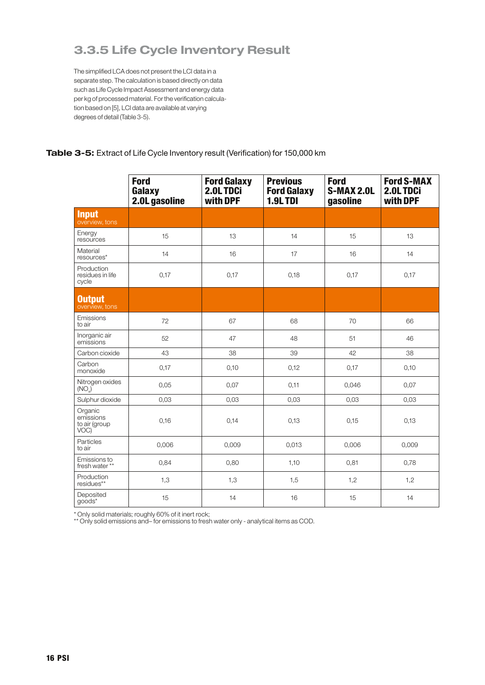### 3.3.5 Life Cycle Inventory Result

The simplified LCA does not present the LCI data in a separate step. The calculation is based directly on data such as Life Cycle Impact Assessment and energy data per kg of processed material. For the verification calculation based on [5], LCI data are available at varying degrees of detail (Table 3-5).

### **Table 3-5:** Extract of Life Cycle Inventory result (Verification) for 150,000 km

|                                               | <b>Ford</b><br>Galaxy<br>2.0L gasoline | <b>Ford Galaxy</b><br>2.0L TDCi<br>with DPF | <b>Previous</b><br><b>Ford Galaxy</b><br>1.9LTDI | <b>Ford</b><br><b>S-MAX 2.0L</b><br>gasoline | <b>Ford S-MAX</b><br>2.0LTDCi<br>with DPF |
|-----------------------------------------------|----------------------------------------|---------------------------------------------|--------------------------------------------------|----------------------------------------------|-------------------------------------------|
| <b>Input</b><br>overview, tons                |                                        |                                             |                                                  |                                              |                                           |
| Energy<br>resources                           | 15                                     | 13                                          | 14                                               | 15                                           | 13                                        |
| Material<br>resources*                        | 14                                     | 16                                          | 17                                               | 16                                           | 14                                        |
| Production<br>residues in life<br>cycle       | 0,17                                   | 0,17                                        | 0,18                                             | 0,17                                         | 0,17                                      |
| <b>Output</b><br>overview, tons               |                                        |                                             |                                                  |                                              |                                           |
| Emissions<br>to air                           | 72                                     | 67                                          | 68                                               | 70                                           | 66                                        |
| Inorganic air<br>emissions                    | 52                                     | 47                                          | 48                                               | 51                                           | 46                                        |
| Carbon cioxide                                | 43                                     | 38                                          | 39                                               | 42                                           | 38                                        |
| Carbon<br>monoxide                            | 0,17                                   | 0,10                                        | 0,12                                             | 0,17                                         | 0,10                                      |
| Nitrogen oxides<br>(NO <sub>x</sub> )         | 0,05                                   | 0,07                                        | 0,11                                             | 0,046                                        | 0,07                                      |
| Sulphur dioxide                               | 0,03                                   | 0,03                                        | 0,03                                             | 0,03                                         | 0,03                                      |
| Organic<br>emissions<br>to air (group<br>VOC) | 0,16                                   | 0,14                                        | 0,13                                             | 0,15                                         | 0,13                                      |
| Particles<br>to air                           | 0,006                                  | 0,009                                       | 0,013                                            | 0,006                                        | 0,009                                     |
| Emissions to<br>fresh water**                 | 0,84                                   | 0,80                                        | 1,10                                             | 0,81                                         | 0,78                                      |
| Production<br>residues**                      | 1,3                                    | 1,3                                         | 1,5                                              | 1,2                                          | 1,2                                       |
| Deposited<br>goods*                           | 15                                     | 14                                          | 16                                               | 15                                           | 14                                        |

\* Only solid materials; roughly 60% of it inert rock;

\*\* Only solid emissions and– for emissions to fresh water only - analytical items as COD.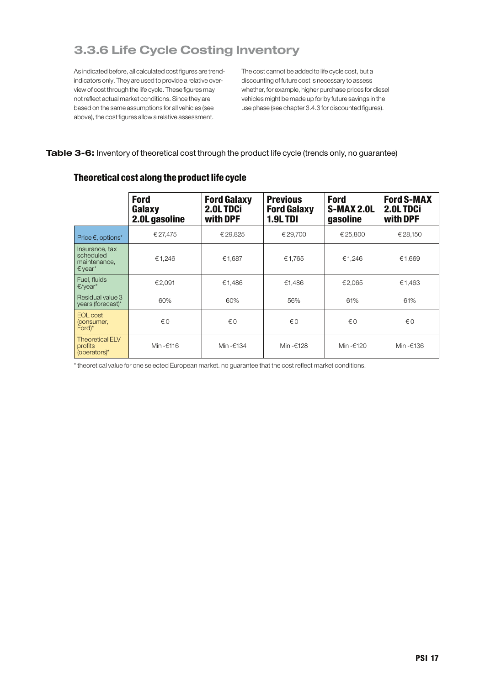## 3.3.6 Life Cycle Costing Inventory

As indicated before, all calculated cost figures are trendindicators only. They are used to provide a relative overview of cost through the life cycle. These figures may not reflect actual market conditions. Since they are based on the same assumptions for all vehicles (see above), the cost figures allow a relative assessment.

The cost cannot be added to life cycle cost, but a discounting of future cost is necessary to assess whether, for example, higher purchase prices for diesel vehicles might be made up for by future savings in the use phase (see chapter 3.4.3 for discounted figures).

### **Table 3-6:** Inventory of theoretical cost through the product life cycle (trends only, no guarantee)

|                                                                             | <b>Ford</b><br>Galaxy<br>2.0L gasoline | <b>Ford Galaxy</b><br>2.0L TDCi<br>with DPF | <b>Previous</b><br><b>Ford Galaxy</b><br><b>1.9L TDI</b> | <b>Ford</b><br>S-MAX 2.0L<br>gasoline | <b>Ford S-MAX</b><br>2.0LTDCi<br>with DPF |
|-----------------------------------------------------------------------------|----------------------------------------|---------------------------------------------|----------------------------------------------------------|---------------------------------------|-------------------------------------------|
| Price $\epsilon$ , options*                                                 | €27,475                                | €29,825                                     | € 29.700                                                 | €25,800                               | € 28,150                                  |
| Insurance, tax<br>scheduled<br>maintenance,<br>$\epsilon$ year <sup>*</sup> | €1,246                                 | €1,687                                      | €1.765                                                   | €1,246                                | €1,669                                    |
| Fuel, fluids<br>$E/year*$                                                   | €2.091                                 | €1.486                                      | €1.486                                                   | €2.065                                | €1,463                                    |
| Residual value 3<br>years (forecast)*                                       | 60%                                    | 60%                                         | 56%                                                      | 61%                                   | 61%                                       |
| EOL cost<br>(consumer,<br>$\text{Ford}$ <sup>*</sup>                        | $\notin$ 0                             | €0                                          | €0                                                       | €0                                    | $\notin$ 0                                |
| <b>Theoretical ELV</b><br>profits<br>(operators)*                           | Min -€116                              | Min-€134                                    | Min-€128                                                 | Min-€120                              | Min-€136                                  |

### Theoretical cost along the product life cycle

\* theoretical value for one selected European market. no guarantee that the cost reflect market conditions.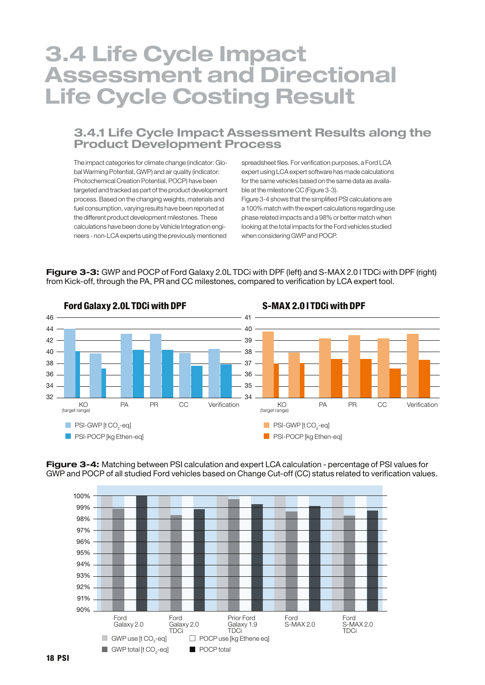## 3.4 Life Cycle Impact Assessment and Directional Life Cycle Costing Result

### 3.4.1 Life Cycle Impact Assessment Results along the Product Development Process

The impact categories for climate change (indicator: Global Warming Potential, GWP) and air quality (indicator: Photochemical Creation Potential, POCP) have been targeted and tracked as part of the product development process. Based on the changing weights, materials and fuel consumption, varying results have been reported at the different product development milestones. These calculations have been done by Vehicle Integration engineers - non-LCA experts using the previously mentioned

spreadsheet files. For verification purposes, a Ford LCA expert using LCA expert software has made calculations for the same vehicles based on the same data as available at the milestone CC (Figure 3-3).

Figure 3-4 shows that the simplified PSI calculations are a 100% match with the expert calculations regarding use phase related impacts and a 98% or better match when looking at the total impacts for the Ford vehicles studied when considering GWP and POCP.



**Figure 3-3:** GWP and POCP of Ford Galaxy 2.0L TDCi with DPF (left) and S-MAX 2.0 l TDCi with DPF (right) from Kick-off, through the PA, PR and CC milestones, compared to verification by LCA expert tool.



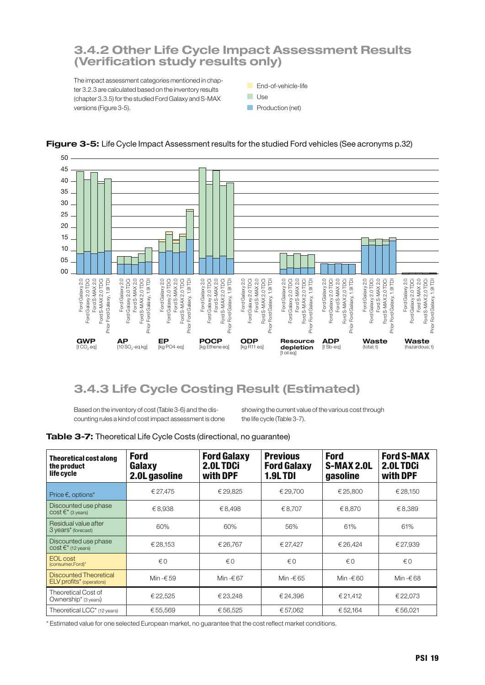### 3.4.2 Other Life Cycle Impact Assessment Results (Verification study results only)

The impact assessment categories mentioned in chapter 3.2.3 are calculated based on the inventory results (chapter 3.3.5) for the studied Ford Galaxy and S-MAX versions (Figure 3-5).

**End-of-vehicle-life** 

**Use** 

**Production (net)** 



### **Figure 3-5:** Life Cycle Impact Assessment results for the studied Ford vehicles (See acronyms p.32)

### 3.4.3 Life Cycle Costing Result (Estimated)

Based on the inventory of cost (Table 3-6) and the discounting rules a kind of cost impact assessment is done showing the current value of the various cost through the life cycle (Table 3-7).

| Table 3-7: Theoretical Life Cycle Costs (directional, no guarantee) |  |  |  |
|---------------------------------------------------------------------|--|--|--|
|---------------------------------------------------------------------|--|--|--|

| <b>Theoretical cost along</b><br>the product<br>life cycle     | <b>Ford</b><br>Galaxy<br>2.0L gasoline | <b>Ford Galaxy</b><br>2.0LTDCi<br>with DPF | <b>Previous</b><br><b>Ford Galaxy</b><br><b>1.9L TDI</b> | <b>Ford</b><br><b>S-MAX 2.0L</b><br>gasoline | <b>Ford S-MAX</b><br>2.0L TDCi<br>with DPF |
|----------------------------------------------------------------|----------------------------------------|--------------------------------------------|----------------------------------------------------------|----------------------------------------------|--------------------------------------------|
| Price $\epsilon$ , options*                                    | € 27,475                               | €29,825                                    | € 29.700                                                 | € 25,800                                     | € 28.150                                   |
| Discounted use phase<br>COST $\epsilon^*$ (3 years)            | €8.938                                 | €8.498                                     | €8.707                                                   | €8.870                                       | €8.389                                     |
| Residual value after<br>3 years <sup>*</sup> (forecast)        | 60%                                    | 60%                                        | 56%                                                      | 61%                                          | 61%                                        |
| Discounted use phase<br>COSt $\epsilon^*$ (12 years)           | €28,153                                | € 26.767                                   | € 27.427                                                 | € 26.424                                     | € 27.939                                   |
| <b>EOL</b> cost<br>(consumer, Ford)*                           | $\notin$ 0                             | $\notin$ 0                                 | €Ω                                                       | $\notin$ 0                                   | $\notin$ 0                                 |
| Discounted Theoretical<br>ELV profits <sup>*</sup> (operators) | Min -€ 59                              | Min $-667$                                 | Min -€ 65                                                | Min $-60$                                    | Min $-668$                                 |
| Theoretical Cost of<br>Ownership* (3 years)                    | €22,525                                | €23,248                                    | € 24.396                                                 | € 21,412                                     | €22,073                                    |
| Theoretical LCC <sup>*</sup> (12 years)                        | €55,569                                | €56,525                                    | €57,062                                                  | €52,164                                      | €56,021                                    |

\* Estimated value for one selected European market, no guarantee that the cost reflect market conditions.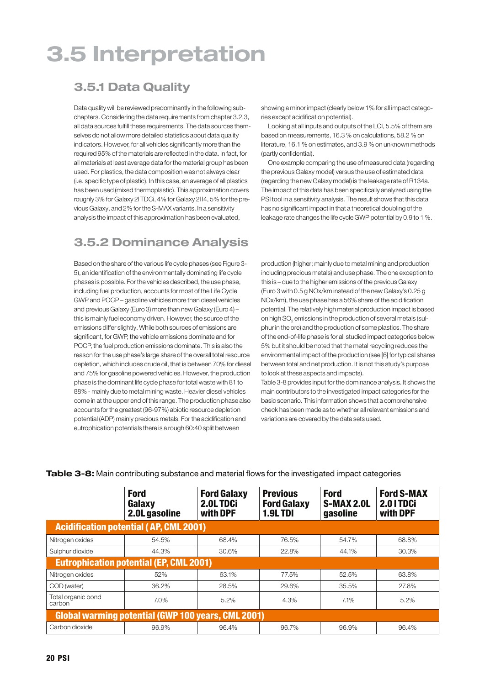# 3.5 Interpretation

## 3.5.1 Data Quality

Data quality will be reviewed predominantly in the following subchapters. Considering the data requirements from chapter 3.2.3, all data sources fulfill these requirements. The data sources themselves do not allow more detailed statistics about data quality indicators. However, for all vehicles significantly more than the required 95% of the materials are reflected in the data. In fact, for all materials at least average data for the material group has been used. For plastics, the data composition was not always clear (i.e. specific type of plastic). In this case, an average of all plastics has been used (mixed thermoplastic). This approximation covers roughly 3% for Galaxy 2l TDCi, 4% for Galaxy 2l I4, 5% for the previous Galaxy, and 2% for the S-MAX variants. In a sensitivity analysis the impact of this approximation has been evaluated,

## 3.5.2 Dominance Analysis

Based on the share of the various life cycle phases (see Figure 3- 5), an identification of the environmentally dominating life cycle phases is possible. For the vehicles described, the use phase, including fuel production, accounts for most of the Life Cycle GWP and POCP – gasoline vehicles more than diesel vehicles and previous Galaxy (Euro 3) more than new Galaxy (Euro 4) – this is mainly fuel economy driven. However, the source of the emissions differ slightly. While both sources of emissions are significant, for GWP, the vehicle emissions dominate and for POCP, the fuel production emissions dominate. This is also the reason for the use phase's large share of the overall total resource depletion, which includes crude oil, that is between 70% for diesel and 75% for gasoline powered vehicles. However, the production phase is the dominant life cycle phase for total waste with 81 to 88% - mainly due to metal mining waste. Heavier diesel vehicles come in at the upper end of this range. The production phase also accounts for the greatest (96-97%) abiotic resource depletion potential (ADP) mainly precious metals. For the acidification and eutrophication potentials there is a rough 60:40 split between

showing a minor impact (clearly below 1% for all impact categories except acidification potential).

Looking at all inputs and outputs of the LCI, 5.5% of them are based on measurements, 16.3 % on calculations, 58.2 % on literature, 16.1 % on estimates, and 3.9 % on unknown methods (partly confidential).

One example comparing the use of measured data (regarding the previous Galaxy model) versus the use of estimated data (regarding the new Galaxy model) is the leakage rate of R134a. The impact of this data has been specifically analyzed using the PSI tool in a sensitivity analysis. The result shows that this data has no significant impact in that a theoretical doubling of the leakage rate changes the life cycle GWP potential by 0.9 to 1 %.

production (higher; mainly due to metal mining and production including precious metals) and use phase. The one exception to this is – due to the higher emissions of the previous Galaxy (Euro 3 with 0.5 g NOx/km instead of the new Galaxy's 0.25 g NOx/km), the use phase has a 56% share of the acidification potential. The relatively high material production impact is based on high SO<sub>2</sub> emissions in the production of several metals (sulphur in the ore) and the production of some plastics. The share of the end-of-life phase is for all studied impact categories below 5% but it should be noted that the metal recycling reduces the environmental impact of the production (see [6] for typical shares between total and net production. It is not this study's purpose to look at these aspects and impacts).

Table 3-8 provides input for the dominance analysis. It shows the main contributors to the investigated impact categories for the basic scenario. This information shows that a comprehensive check has been made as to whether all relevant emissions and variations are covered by the data sets used.

|                                                    | <b>Ford</b><br>Galaxy<br>2.0L gasoline         | <b>Ford Galaxy</b><br>2.0L TDCi<br>with DPF | <b>Previous</b><br><b>Ford Galaxy</b><br><b>1.9LTDI</b> | <b>Ford</b><br><b>S-MAX 2.0L</b><br>gasoline | <b>Ford S-MAX</b><br>2.01TDCi<br>with DPF |  |
|----------------------------------------------------|------------------------------------------------|---------------------------------------------|---------------------------------------------------------|----------------------------------------------|-------------------------------------------|--|
|                                                    | <b>Acidification potential (AP, CML 2001)</b>  |                                             |                                                         |                                              |                                           |  |
| Nitrogen oxides                                    | 54.5%                                          | 68.4%                                       | 76.5%                                                   | 54.7%                                        | 68.8%                                     |  |
| Sulphur dioxide                                    | 44.3%                                          | 30.6%                                       | 22.8%                                                   | 44.1%                                        | 30.3%                                     |  |
|                                                    | <b>Eutrophication potential (EP, CML 2001)</b> |                                             |                                                         |                                              |                                           |  |
| Nitrogen oxides                                    | 52%                                            | 63.1%                                       | 77.5%                                                   | 52.5%                                        | 63.8%                                     |  |
| COD (water)                                        | 36.2%                                          | 28.5%                                       | 29.6%                                                   | 35.5%                                        | 27.8%                                     |  |
| Total organic bond<br>carbon                       | $7.0\%$                                        | 5.2%                                        | 4.3%                                                    | 7.1%                                         | 5.2%                                      |  |
| Global warming potential (GWP 100 years, CML 2001) |                                                |                                             |                                                         |                                              |                                           |  |
| Carbon dioxide                                     | 96.9%                                          | 96.4%                                       | 96.7%                                                   | 96.9%                                        | 96.4%                                     |  |

**Table 3-8:** Main contributing substance and material flows for the investigated impact categories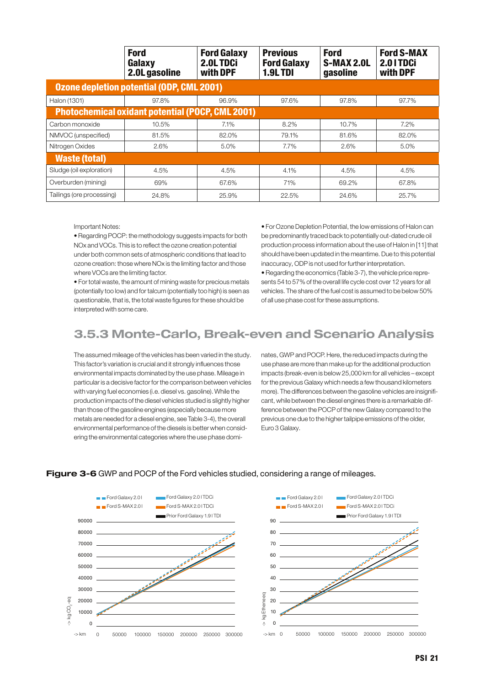|                           | <b>Ford</b><br>Galaxy<br>2.0L gasoline                  | <b>Ford Galaxy</b><br>2.0L TDCi<br>with DPF | <b>Previous</b><br><b>Ford Galaxy</b><br><b>1.9LTDI</b> | <b>Ford</b><br><b>S-MAX 2.0L</b><br>gasoline | <b>Ford S-MAX</b><br>2.01TDCi<br>with DPF |
|---------------------------|---------------------------------------------------------|---------------------------------------------|---------------------------------------------------------|----------------------------------------------|-------------------------------------------|
|                           | <b>Ozone depletion potential (ODP, CML 2001)</b>        |                                             |                                                         |                                              |                                           |
| Halon (1301)              | 97.8%                                                   | 96.9%                                       | 97.6%                                                   | 97.8%                                        | 97.7%                                     |
|                           | <b>Photochemical oxidant potential (POCP, CML 2001)</b> |                                             |                                                         |                                              |                                           |
| Carbon monoxide           | 10.5%                                                   | 7.1%                                        | 8.2%                                                    | 10.7%                                        | 7.2%                                      |
| NMVOC (unspecified)       | 81.5%                                                   | 82.0%                                       | 79.1%                                                   | 81.6%                                        | 82.0%                                     |
| Nitrogen Oxides           | 2.6%                                                    | 5.0%                                        | 7.7%                                                    | 2.6%                                         | 5.0%                                      |
| <b>Waste (total)</b>      |                                                         |                                             |                                                         |                                              |                                           |
| Sludge (oil exploration)  | 4.5%                                                    | 4.5%                                        | 4.1%                                                    | 4.5%                                         | 4.5%                                      |
| Overburden (mining)       | 69%                                                     | 67.6%                                       | 71%                                                     | 69.2%                                        | 67.8%                                     |
| Tailings (ore processing) | 24.8%                                                   | 25.9%                                       | 22.5%                                                   | 24.6%                                        | 25.7%                                     |

Important Notes:

• Regarding POCP: the methodology suggests impacts for both NOx and VOCs. This is to reflect the ozone creation potential under both common sets of atmospheric conditions that lead to ozone creation: those where NOx is the limiting factor and those where VOCs are the limiting factor.

• For total waste, the amount of mining waste for precious metals (potentially too low) and for talcum (potentially too high) is seen as questionable, that is, the total waste figures for these should be interpreted with some care.

• For Ozone Depletion Potential, the low emissions of Halon can be predominantly traced back to potentially out-dated crude oil production process information about the use of Halon in [11] that should have been updated in the meantime. Due to this potential inaccuracy, ODP is not used for further interpretation.

• Regarding the economics (Table 3-7), the vehicle price represents 54 to 57% of the overall life cycle cost over 12 years for all vehicles. The share of the fuel cost is assumed to be below 50% of all use phase cost for these assumptions.

## 3.5.3 Monte-Carlo, Break-even and Scenario Analysis

The assumed mileage of the vehicles has been varied in the study. This factor's variation is crucial and it strongly influences those environmental impacts dominated by the use phase. Mileage in particular is a decisive factor for the comparison between vehicles with varying fuel economies (i.e. diesel vs. gasoline). While the production impacts of the diesel vehicles studied is slightly higher than those of the gasoline engines (especially because more metals are needed for a diesel engine, see Table 3-4), the overall environmental performance of the diesels is better when considering the environmental categories where the use phase dominates, GWP and POCP. Here, the reduced impacts during the use phase are more than make up for the additional production impacts (break-even is below 25,000 km for all vehicles – except for the previous Galaxy which needs a few thousand kilometers more). The differences between the gasoline vehicles are insignificant, while between the diesel engines there is a remarkable difference between the POCP of the new Galaxy compared to the previous one due to the higher tailpipe emissions of the older, Euro 3 Galaxy.



#### **Figure 3-6** GWP and POCP of the Ford vehicles studied, considering a range of mileages.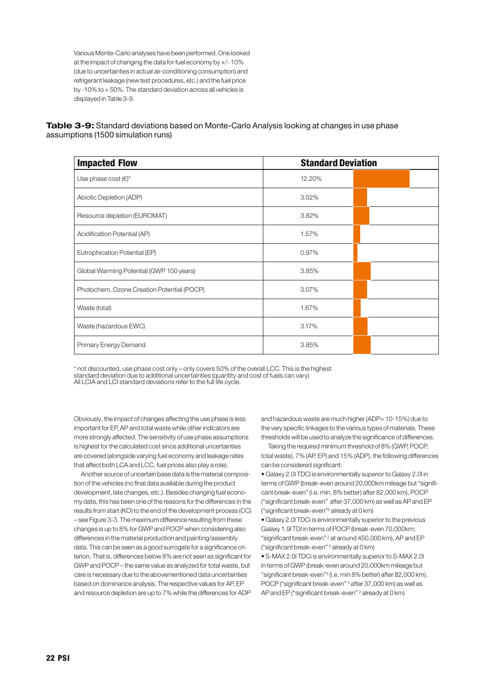Various Monte-Carlo analyses have been performed. One looked at the impact of changing the data for fuel economy by +/- 10% (due to uncertainties in actual air-conditioning consumption) and refrigerant leakage (new test procedures, etc.) and the fuel price by -10% to + 50%. The standard deviation across all vehicles is displayed in Table 3-9.

#### **Table 3-9:** Standard deviations based on Monte-Carlo Analysis looking at changes in use phase assumptions (1500 simulation runs)

| <b>Impacted Flow</b>                       | <b>Standard Deviation</b> |  |
|--------------------------------------------|---------------------------|--|
| Use phase cost $(\epsilon)^*$              | 12.20%                    |  |
| Abiotic Depletion (ADP)                    | 3.02%                     |  |
| Resource depletion (EUROMAT)               | 3.82%                     |  |
| Acidification Potential (AP)               | 1.57%                     |  |
| Eutrophication Potential (EP)              | 0.97%                     |  |
| Global Warming Potential (GWP 100 years)   | 3.85%                     |  |
| Photochem. Ozone Creation Potential (POCP) | 3.07%                     |  |
| Waste (total)                              | 1.67%                     |  |
| Waste (hazardous EWC)                      | 3.17%                     |  |
| Primary Energy Demand                      | 3.85%                     |  |

\* not discounted, use phase cost only – only covers 50% of the overall LCC. This is the highest standard deviation due to additional uncertainties (quantity and cost of fuels can vary) All LCIA and LCI standard deviations refer to the full life cycle.

Obviously, the impact of changes affecting the use phase is less important for EP, AP and total waste while other indicators are more strongly affected. The sensitivity of use phase assumptions is highest for the calculated cost since additional uncertainties are covered (alongside varying fuel economy and leakage rates that affect both LCA and LCC, fuel prices also play a role).

Another source of uncertain base data is the material composition of the vehicles (no final data available during the product development, late changes, etc.). Besides changing fuel economy data, this has been one of the reasons for the differences in the results from start (KO) to the end of the development process (CC) – see Figure 3-3. The maximum difference resulting from these changes is up to 8% for GWP and POCP when considering also differences in the material production and painting/assembly data. This can be seen as a good surrogate for a significance criterion. That is, differences below 8% are not seen as significant for GWP and POCP – the same value as analyzed for total waste, but care is necessary due to the abovementioned data uncertainties based on dominance analysis. The respective values for AP, EP and resource depletion are up to 7% while the differences for ADP and hazardous waste are much higher (ADP= 10-15%) due to the very specific linkages to the various types of materials. These thresholds will be used to analyze the significance of differences.

Taking the required minimum threshold of 8% (GWP, POCP, total waste), 7% (AP, EP) and 15% (ADP), the following differences can be considered significant:

• Galaxy 2.0l TDCi is environmentally superior to Galaxy 2.0l in terms of GWP (break-even around 20,000km mileage but "significant break-even"(i.e. min. 8% better) after 82,000 km), POCP ("significant break-even" after 37,000 km) as well as AP and EP ("significant break-even"2 already at 0 km)

• Galaxy 2.0l TDCi is environmentally superior to the previous Galaxy 1.9l TDI in terms of POCP (break-even 70,000km; "significant break-even" <sup>2</sup> at around 450,000 km), AP and EP ("significant break-even" <sup>2</sup> already at 0 km)

• S-MAX 2.0l TDCi is environmentally superior to S-MAX 2.0l in terms of GWP (break-even around 20,000km mileage but "significant break-even"2 (i.e. min 8% better) after 82,000 km), POCP ("significant break-even" <sup>2</sup> after 37,000 km) as well as AP and EP ("significant break-even" <sup>2</sup> already at 0 km)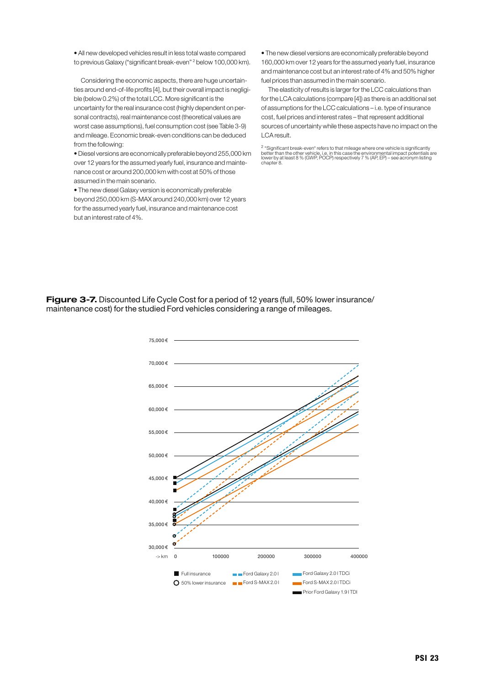• All new developed vehicles result in less total waste compared to previous Galaxy ("significant break-even" <sup>2</sup> below 100,000 km).

Considering the economic aspects, there are huge uncertainties around end-of-life profits [4], but their overall impact is negligible (below 0.2%) of the total LCC. More significant is the uncertainty for the real insurance cost (highly dependent on personal contracts), real maintenance cost (theoretical values are worst case assumptions), fuel consumption cost (see Table 3-9) and mileage. Economic break-even conditions can be deduced from the following:

•Diesel versions are economicallypreferablebeyond 255,000 km over 12 years for the assumed yearly fuel, insurance and maintenance cost or around 200,000 km with cost at 50% of those assumed in the main scenario.

• The new diesel Galaxy version is economically preferable beyond 250,000 km (S-MAX around 240,000 km) over 12 years for the assumed yearly fuel, insurance and maintenance cost but an interest rate of 4%.

• The new diesel versions are economically preferable beyond 160,000 km over 12 years for the assumed yearly fuel, insurance and maintenance cost but an interest rate of 4% and 50% higher fuel prices than assumed in the main scenario.

The elasticity of results is larger for the LCC calculations than for the LCA calculations (compare [4]) as there is an additional set of assumptions for the LCC calculations – i.e. type of insurance cost, fuel prices and interest rates – that represent additional sources of uncertainty while these aspects have no impact on the LCA result.

<sup>2</sup> "Significant break-even" refers to that mileage where one vehicle is significantly<br>better than the other vehicle, i.e. in this case the environmental impact potentials are<br>lower by at least 8 % (GWP, POCP) respectively chapter 8.

**Figure 3-7.** Discounted Life Cycle Cost for a period of 12 years (full, 50% lower insurance/ maintenance cost) for the studied Ford vehicles considering a range of mileages.

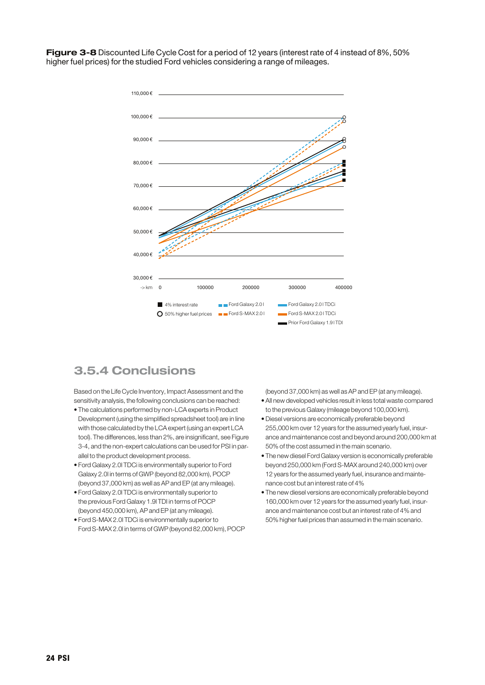**Figure 3-8** Discounted Life Cycle Cost for a period of 12 years (interest rate of 4 instead of 8%, 50% higher fuel prices) for the studied Ford vehicles considering a range of mileages.



### 3.5.4 Conclusions

Based on the Life Cycle Inventory, Impact Assessment and the sensitivity analysis, the following conclusions can be reached:

- The calculations performed by non-LCA experts in Product Development (using the simplified spreadsheet tool) are in line with those calculated by the LCA expert (using an expert LCA tool). The differences, less than 2%, are insignificant, see Figure 3-4, and the non-expert calculations can be used for PSI in parallel to the product development process.
- Ford Galaxy 2.0l TDCi is environmentally superior to Ford Galaxy 2.0l in terms of GWP (beyond 82,000 km), POCP (beyond 37,000 km) as well as AP and EP (at any mileage).
- Ford Galaxy 2.0l TDCi is environmentally superior to the previous Ford Galaxy 1.9l TDI in terms of POCP (beyond 450,000 km), AP and EP (at any mileage).
- Ford S-MAX 2.0l TDCi is environmentally superior to Ford S-MAX 2.0l in terms of GWP (beyond 82,000 km), POCP

(beyond 37,000 km) as well as AP and EP (at any mileage).

- All new developed vehicles result in less total waste compared to the previous Galaxy (mileage beyond 100,000 km).
- Diesel versions are economically preferable beyond 255,000 km over 12 years for the assumed yearly fuel, insurance and maintenance cost and beyond around 200,000 km at 50% of the cost assumed in the main scenario.
- The new diesel Ford Galaxy version is economically preferable beyond 250,000 km (Ford S-MAX around 240,000 km) over 12 years for the assumed yearly fuel, insurance and maintenance cost but an interest rate of 4%
- The new diesel versions are economically preferable beyond 160,000 km over 12 years for the assumed yearly fuel, insurance and maintenance cost but an interest rate of 4% and 50% higher fuel prices than assumed in the main scenario.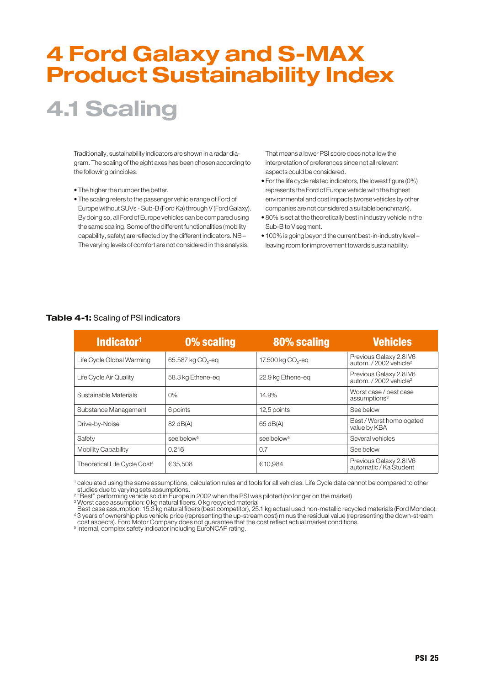# 4 Ford Galaxy and S-MAX Product Sustainability Index

## 4.1 Scaling

Traditionally, sustainability indicators are shown in a radar diagram. The scaling of the eight axes has been chosen according to the following principles:

- The higher the number the better.
- The scaling refers to the passenger vehicle range of Ford of Europe without SUVs - Sub-B(Ford Ka) through V (Ford Galaxy). By doing so, all Ford of Europe vehicles can be compared using the same scaling. Some of the different functionalities (mobility capability, safety) are reflected by the different indicators. NB – The varying levels of comfort are not considered in this analysis.

That means a lower PSI score does not allow the interpretation of preferences since not all relevant aspects could be considered.

- For the life cycle related indicators, the lowest figure (0%) represents the Ford of Europe vehicle with the highest environmental and cost impacts (worse vehicles by other companies are not considered a suitable benchmark).
- 80% is set at the theoretically best in industry vehicle in the Sub-B to V segment.
- 100% is going beyond the current best-in-industry level leaving room for improvement towards sustainability.

| Indicator <sup>1</sup>                   | 0% scaling                    | 80% scaling                   | <b>Vehicles</b>                                              |
|------------------------------------------|-------------------------------|-------------------------------|--------------------------------------------------------------|
| Life Cycle Global Warming                | 65.587 kg CO <sub>2</sub> -eq | 17.500 kg CO <sub>2</sub> -eq | Previous Galaxy 2.8IV6<br>autom. / 2002 vehicle <sup>2</sup> |
| Life Cycle Air Quality                   | 58.3 kg Ethene-eg             | 22.9 kg Ethene-eg             | Previous Galaxy 2.8IV6<br>autom. / 2002 vehicle <sup>2</sup> |
| Sustainable Materials                    | 0%                            | 14.9%                         | Worst case / best case<br>assumptions <sup>3</sup>           |
| Substance Management                     | 6 points                      | 12,5 points                   | See below                                                    |
| Drive-by-Noise                           | 82 dB(A)                      | 65 dB(A)                      | Best / Worst homologated<br>value by KBA                     |
| Safety                                   | see below <sup>5</sup>        | see below <sup>5</sup>        | Several vehicles                                             |
| Mobility Capability                      | 0.216                         | 0.7                           | See below                                                    |
| Theoretical Life Cycle Cost <sup>4</sup> | €35.508                       | €10.984                       | Previous Galaxy 2.8IV6<br>automatic / Ka Student             |

#### **Table 4-1:** Scaling of PSI indicators

1 calculated using the same assumptions, calculation rules and tools for all vehicles. Life Cycle data cannot be compared to other

studies due to varying sets assumptions.

<sup>2</sup> "Best" performing vehicle sold in Europe in 2002 when the PSI was piloted (no longer on the market)

<sup>3</sup> Worst case assumption: 0 kg natural fibers, 0 kg recycled material

Best case assumption: 15.3 kg natural fibers (best competitor), 25.1 kg actual used non-metallic recycled materials (Ford Mondeo). 4 3 years of ownership plus vehicle price (representing the up-stream cost) minus the residual value (representing the down-stream cost aspects). Ford Motor Company does not guarantee that the cost reflect actual market conditions.

<sup>5</sup> Internal, complex safety indicator including EuroNCAP rating.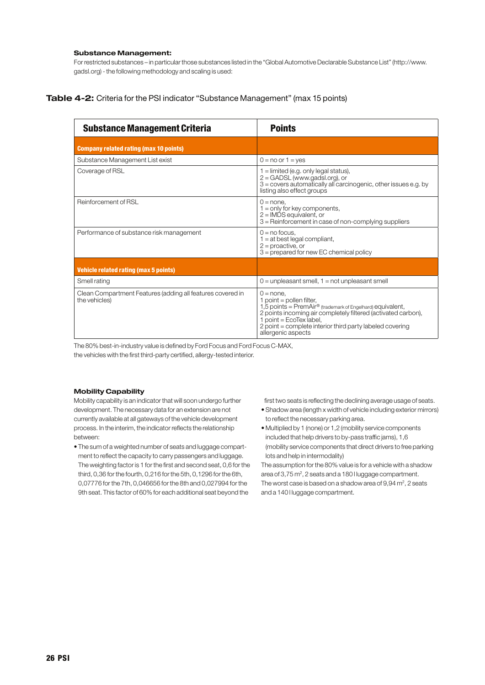#### **Substance Management:**

For restricted substances – in particular those substances listed in the "Global Automotive Declarable Substance List" (http://www. gadsl.org) - the following methodology and scaling is used:

#### **Table 4-2:** Criteria for the PSI indicator "Substance Management" (max 15 points)

| <b>Substance Management Criteria</b>                                        | <b>Points</b>                                                                                                                                                                                                                                                                                  |
|-----------------------------------------------------------------------------|------------------------------------------------------------------------------------------------------------------------------------------------------------------------------------------------------------------------------------------------------------------------------------------------|
| <b>Company related rating (max 10 points)</b>                               |                                                                                                                                                                                                                                                                                                |
| Substance Management List exist                                             | $0 = no$ or $1 = v$ es                                                                                                                                                                                                                                                                         |
| Coverage of RSL                                                             | $1 =$ limited (e.g. only legal status),<br>2 = GADSL (www.gadsl.org), or<br>3 = covers automatically all carcinogenic, other issues e.g. by<br>listing also effect groups                                                                                                                      |
| Reinforcement of RSL                                                        | $0 = none$ .<br>$1 =$ only for key components,<br>$2 =$ IMDS equivalent, or<br>3 = Reinforcement in case of non-complying suppliers                                                                                                                                                            |
| Performance of substance risk management                                    | $0 = no$ focus,<br>$1 = at best legal compliant,$<br>$2$ = proactive, or<br>$3 =$ prepared for new EC chemical policy                                                                                                                                                                          |
| <b>Vehicle related rating (max 5 points)</b>                                |                                                                                                                                                                                                                                                                                                |
| Smell rating                                                                | $0 =$ unpleasant smell, $1 =$ not unpleasant smell                                                                                                                                                                                                                                             |
| Clean Compartment Features (adding all features covered in<br>the vehicles) | $0 = none$ .<br>1 point = pollen filter,<br>1,5 points = PremAir <sup>®</sup> (trademark of Engelhard) equivalent,<br>2 points incoming air completely filtered (activated carbon),<br>point = EcoTex label,<br>2 point = complete interior third party labeled covering<br>allergenic aspects |

The 80% best-in-industry value is defined by Ford Focus and Ford Focus C-MAX, the vehicles with the first third-party certified, allergy-tested interior.

#### **Mobility Capability**

Mobility capability is an indicator that will soon undergo further development. The necessary data for an extension are not currently available at all gateways of the vehicle development process. In the interim, the indicator reflects the relationship between:

• The sum of a weighted number of seats and luggage compartment to reflect the capacity to carry passengers and luggage. The weighting factor is 1 for the first and second seat, 0,6 for the third, 0,36 for the fourth, 0,216 for the 5th, 0,1296 for the 6th, 0,07776 for the 7th, 0,046656 for the 8th and 0,027994 for the 9th seat. This factor of 60% for each additional seat beyond the

first two seats is reflecting the declining average usage of seats.

- Shadow area (length x width of vehicle including exterior mirrors) to reflect the necessary parking area.
- Multiplied by 1 (none) or 1,2 (mobility service components included that help drivers to by-pass traffic jams), 1,6 (mobility service components that direct drivers to free parking lots and help in intermodality)

The assumption for the 80% value is for a vehicle with a shadow area of 3,75 m<sup>2</sup>, 2 seats and a 180 l luggage compartment. The worst case is based on a shadow area of 9,94 m<sup>2</sup>, 2 seats and a 140 l luggage compartment.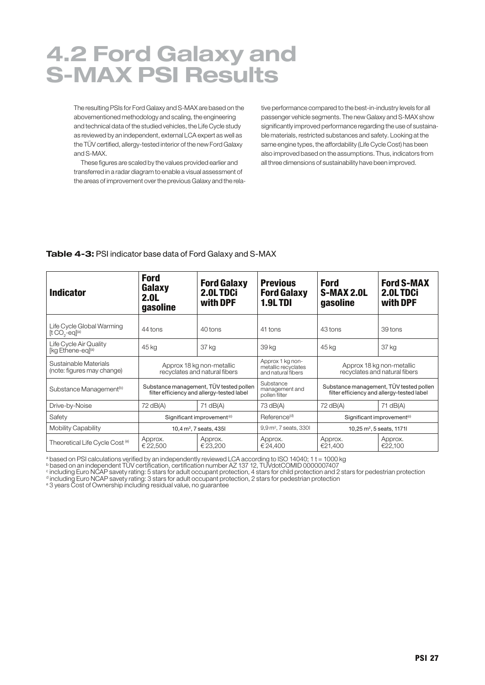## 4.2 Ford Galaxy and S-MAX PSI Results

The resulting PSIs for Ford Galaxy and S-MAX are based on the abovementioned methodology and scaling, the engineering and technical data of the studied vehicles, the Life Cycle study as reviewed by an independent, external LCA expert as well as the TÜV certified, allergy-tested interior of the new Ford Galaxy and S-MAX.

These figures are scaled by the values provided earlier and transferred in a radar diagram to enable a visual assessment of the areas of improvement over the previous Galaxy and the relative performance compared to the best-in-industry levels for all passenger vehicle segments. The new Galaxy and S-MAX show significantly improved performance regarding the use of sustainable materials, restricted substances and safety. Looking at the same engine types, the affordability (Life Cycle Cost) has been also improved based on the assumptions. Thus, indicators from all three dimensions of sustainability have been improved.

#### **Table 4-3:** PSI indicator base data of Ford Galaxy and S-MAX

| <b>Indicator</b>                                        | <b>Ford</b><br>Galaxy<br>2.0 <sub>L</sub><br>qasoline | <b>Ford Galaxy</b><br>2.0L TDCi<br>with DPF                                           | <b>Previous</b><br><b>Ford Galaxy</b><br><b>1.9LTDI</b>       | <b>Ford</b><br><b>S-MAX 2.0L</b><br>gasoline               | <b>Ford S-MAX</b><br>2.0LTDCi<br>with DPF                                             |
|---------------------------------------------------------|-------------------------------------------------------|---------------------------------------------------------------------------------------|---------------------------------------------------------------|------------------------------------------------------------|---------------------------------------------------------------------------------------|
| Life Cycle Global Warming<br>$[t CO2-eq](a)$            | 44 tons                                               | 40 tons                                                                               | 41 tons                                                       | 43 tons                                                    | 39 tons                                                                               |
| Life Cycle Air Quality<br>[kg Ethene-eg] <sup>(a)</sup> | 45 kg                                                 | 37 kg                                                                                 | 39 kg                                                         | 45 kg                                                      | 37 kg                                                                                 |
| Sustainable Materials<br>(note: figures may change)     |                                                       | Approx 18 kg non-metallic<br>recyclates and natural fibers                            | Approx 1 kg non-<br>metallic recyclates<br>and natural fibers | Approx 18 kg non-metallic<br>recyclates and natural fibers |                                                                                       |
| Substance Management <sup>(b)</sup>                     |                                                       | Substance management, TÜV tested pollen<br>filter efficiency and allergy-tested label | Substance<br>management and<br>pollen filter                  |                                                            | Substance management, TÜV tested pollen<br>filter efficiency and allergy-tested label |
| Drive-by-Noise                                          | 72 dB(A)                                              | 71 dB(A)                                                                              | 73 dB(A)                                                      | 72 dB(A)                                                   | 71 dB(A)                                                                              |
| Safety                                                  |                                                       | Significant improvement <sup>(c)</sup>                                                | Reference <sup>(d)</sup>                                      | Significant improvement <sup>(c)</sup>                     |                                                                                       |
| Mobility Capability                                     |                                                       | 10,4 m <sup>2</sup> , 7 seats, 435l                                                   | 9,9 m <sup>2</sup> , 7 seats, 330l                            |                                                            | 10,25 m <sup>2</sup> , 5 seats, 1171l                                                 |
| Theoretical Life Cycle Cost <sup>(e)</sup>              | Approx.<br>€22,500                                    | Approx.<br>€ 23.200                                                                   | Approx.<br>€ 24.400                                           | Approx.<br>€21.400                                         | Approx.<br>€22.100                                                                    |

 $^{\rm a}$  based on PSI calculations verified by an independently reviewed LCA according to ISO 14040; 1 t = 1000 kg

 $^{\rm b}$  based on an independent TÜV certification, certification number AZ 137 12, TUVdotCOMID 0000007407

<sup>c</sup> including Euro NCAP savety rating: 5 stars for adult occupant protection, 4 stars for child protection and 2 stars for pedestrian protection

<sup>d</sup> including Euro NCAP savety rating: 3 stars for adult occupant protection, 2 stars for pedestrian protection

<sup>e</sup> 3 years Cost of Ownership including residual value, no guarantee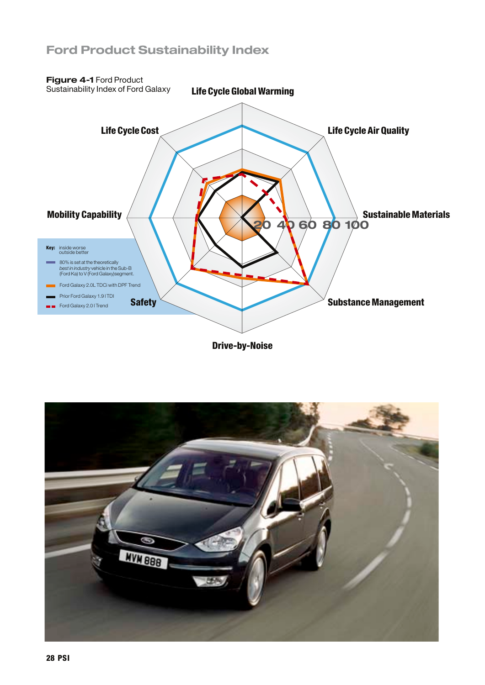### Ford Product Sustainability Index



Drive-by-Noise

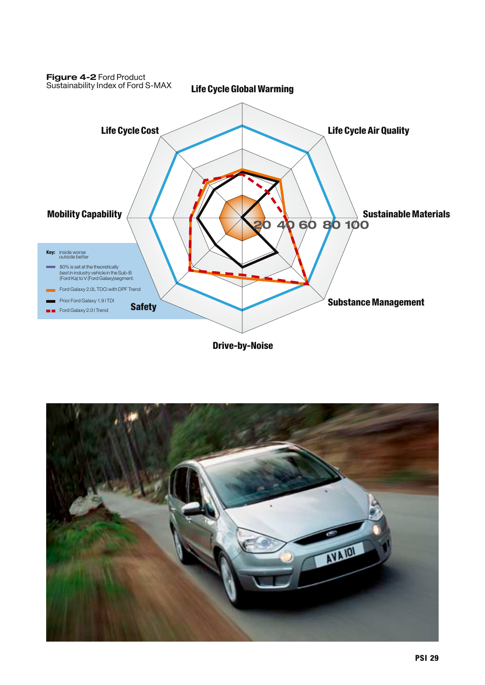

Drive-by-Noise

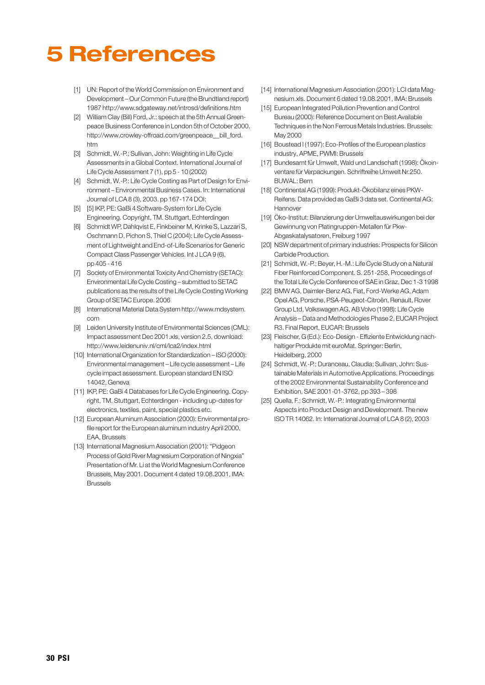# 5 References

- [1] UN: Report of the World Commission on Environment and Development – Our Common Future (the Brundtland report) 1987 http://www.sdgateway.net/introsd/definitions.htm
- [2] William Clay (Bill) Ford, Jr.: speech at the 5th Annual Greenpeace Business Conference in London 5th of October 2000. http://www.crowley-offroad.com/greenpeace\_\_bill\_ford. htm
- [3] Schmidt, W.-P.; Sullivan, John: Weighting in Life Cycle Assessments in a Global Context. International Journal of Life Cycle Assessment 7 (1), pp 5 - 10 (2002)
- [4] Schmidt, W.-P.: Life Cycle Costing as Part of Design for Environment – Environmental Business Cases. In: International Journal of LCA 8 (3), 2003. pp 167-174DOI:
- [5] [5] IKP, PE: GaBi 4 Software-System for Life Cycle Engineering. Copyright, TM. Stuttgart, Echterdingen
- [6] Schmidt WP, Dahlqvist E, Finkbeiner M, Krinke S, Lazzari S, OschmannD, Pichon S, Thiel C (2004): Life Cycle Assessment of Lightweight and End-of-Life Scenarios for Generic Compact Class Passenger Vehicles. Int J LCA 9 (6), pp 405 - 416
- [7] Society of Environmental Toxicity And Chemistry (SETAC): Environmental Life Cycle Costing – submitted to SETAC publications as the results of the Life Cycle Costing Working Group of SETAC Europe. 2006
- [8] International Material Data System http://www.mdsystem. com
- [9] Leiden University Institute of Environmental Sciences (CML): Impact assessment Dec 2001.xls, version 2.5, download: http://www.leidenuniv.nl/cml/lca2/index.html
- [10] International Organization for Standardization ISO (2000): Environmental management – Life cycle assessment – Life cycle impact assessment. European standard EN ISO 14042, Geneva
- [11] IKP, PE: GaBi 4 Databases for Life Cycle Engineering. Copyright, TM. Stuttgart, Echterdingen -including up-dates for electronics, textiles, paint, special plastics etc.
- [12] European Aluminum Association (2000): Environmental profile report for the European aluminum industry April 2000, EAA, Brussels
- [13] International Magnesium Association (2001): "Pidgeon Process of Gold River Magnesium Corporation of Ningxia" Presentation of Mr. Li at the World Magnesium Conference Brussels, May 2001.Document 4 dated 19.08.2001, IMA: Brussels
- [14] International Magnesium Association (2001): LCI data Magnesium.xls.Document 6 dated 19.08.2001, IMA: Brussels
- [15] European Integrated Pollution Prevention and Control Bureau (2000): Reference Document on Best Available Techniques in the Non Ferrous Metals Industries. Brussels: May 2000
- [16] Boustead I (1997): Eco-Profiles of the European plastics industry, APME, PWMI: Brussels
- [17] Bundesamt für Umwelt, Wald und Landschaft (1998): Ökoinventare für Verpackungen. SchriftreiheUmwelt Nr.250. BUWAL: Bern
- [18] Continental AG (1999): Produkt-Ökobilanz eines PKW-Reifens.Data provided as GaBi 3 data set. Continental AG: Hannover
- [19] Öko-Institut: Bilanzierung derUmweltauswirkungen bei der Gewinnung von Platingruppen-Metallen für Pkw-Abgaskatalysatoren, Freiburg 1997
- [20] NSW department of primary industries: Prospects for Silicon Carbide Production.
- [21] Schmidt, W.-P.; Beyer, H.-M.: Life Cycle Study on a Natural Fiber Reinforced Component. S. 251-258, Proceedings of the Total Life Cycle Conference of SAE in Graz, Dec 1-3 1998
- [22] BMW AG, Daimler-Benz AG, Fiat, Ford-Werke AG, Adam Opel AG, Porsche, PSA-Peugeot-Citroën, Renault, Rover Group Ltd, Volkswagen AG, AB Volvo (1998): Life Cycle Analysis –Data and Methodologies Phase 2, EUCAR Project R3. Final Report, EUCAR: Brussels
- [23] Fleischer, G (Ed.): Eco-Design Effiziente Entwicklung nachhaltiger Produkte mit euroMat. Springer: Berlin, Heidelberg, 2000
- [24] Schmidt, W.-P.; Duranceau, Claudia; Sullivan, John: Sustainable Materials in Automotive Applications. Proceedings of the 2002 Environmental Sustainability Conference and Exhibition, SAE 2001-01-3762, pp 393 – 398
- [25] Quella, F.; Schmidt, W.-P.: Integrating Environmental Aspects into Product Design and Development. The new ISO TR 14062. In: International Journal of LCA 8 (2), 2003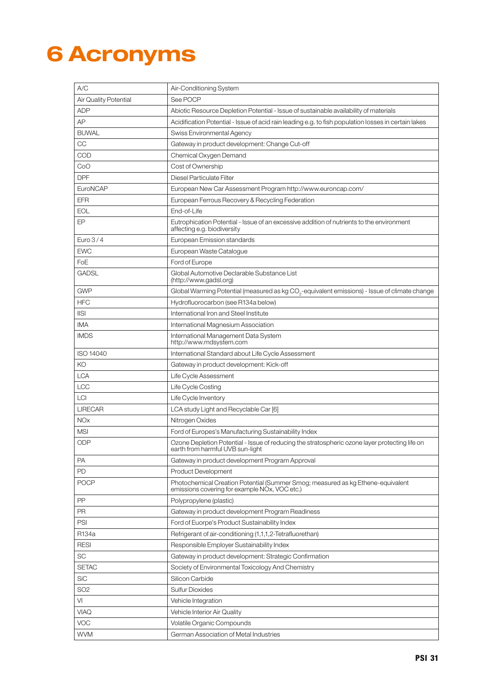# 6 Acronyms

| A/C                   | Air-Conditioning System                                                                                                                       |
|-----------------------|-----------------------------------------------------------------------------------------------------------------------------------------------|
| Air Quality Potential | See POCP                                                                                                                                      |
| <b>ADP</b>            | Abiotic Resource Depletion Potential - Issue of sustainable availability of materials                                                         |
| AP                    | Acidification Potential - Issue of acid rain leading e.g. to fish population losses in certain lakes                                          |
| <b>BUWAL</b>          | Swiss Environmental Agency                                                                                                                    |
| CC                    | Gateway in product development: Change Cut-off                                                                                                |
| <b>COD</b>            | Chemical Oxygen Demand                                                                                                                        |
| CoO                   | Cost of Ownership                                                                                                                             |
| <b>DPF</b>            | Diesel Particulate Filter                                                                                                                     |
| EuroNCAP              | European New Car Assessment Program http://www.euroncap.com/                                                                                  |
| <b>EFR</b>            | European Ferrous Recovery & Recycling Federation                                                                                              |
| <b>EOL</b>            | End-of-Life                                                                                                                                   |
| EP                    | Eutrophication Potential - Issue of an excessive addition of nutrients to the environment<br>affecting e.g. biodiversity                      |
| Euro $3/4$            | European Emission standards                                                                                                                   |
| <b>EWC</b>            | European Waste Catalogue                                                                                                                      |
| FoE                   | Ford of Europe                                                                                                                                |
| <b>GADSL</b>          | Global Automotive Declarable Substance List<br>(http://www.gadsl.org)                                                                         |
| <b>GWP</b>            | Global Warming Potential (measured as kg CO <sub>2</sub> -equivalent emissions) - Issue of climate change                                     |
| <b>HFC</b>            | Hydrofluorocarbon (see R134a below)                                                                                                           |
| $\ S\ $               | International Iron and Steel Institute                                                                                                        |
| <b>IMA</b>            | International Magnesium Association                                                                                                           |
| <b>IMDS</b>           | International Management Data System<br>http://www.mdsystem.com                                                                               |
| ISO 14040             | International Standard about Life Cycle Assessment                                                                                            |
| KO                    | Gateway in product development: Kick-off                                                                                                      |
| <b>LCA</b>            | Life Cycle Assessment                                                                                                                         |
| <b>LCC</b>            | Life Cycle Costing                                                                                                                            |
| LCI                   | Life Cycle Inventory                                                                                                                          |
| <b>LIRECAR</b>        | LCA study Light and Recyclable Car [6]                                                                                                        |
| <b>NOx</b>            | Nitrogen Oxides                                                                                                                               |
| <b>MSI</b>            | Ford of Europes's Manufacturing Sustainability Index                                                                                          |
| <b>ODP</b>            | Ozone Depletion Potential - Issue of reducing the stratospheric ozone layer protecting life on<br>earth from harmful UVB sun-light            |
| <b>PA</b>             | Gateway in product development Program Approval                                                                                               |
| PD                    | <b>Product Development</b>                                                                                                                    |
| <b>POCP</b>           | Photochemical Creation Potential (Summer Smog; measured as kg Ethene-equivalent<br>emissions covering for example NO <sub>x</sub> , VOC etc.) |
| PP                    | Polypropylene (plastic)                                                                                                                       |
| <b>PR</b>             | Gateway in product development Program Readiness                                                                                              |
| PSI                   | Ford of Euorpe's Product Sustainability Index                                                                                                 |
| R134a                 | Refrigerant of air-conditioning (1,1,1,2-Tetrafluorethan)                                                                                     |
| <b>RESI</b>           | Responsible Employer Sustainability Index                                                                                                     |
| <b>SC</b>             | Gateway in product development: Strategic Confirmation                                                                                        |
| <b>SETAC</b>          | Society of Environmental Toxicology And Chemistry                                                                                             |
| <b>SiC</b>            | Silicon Carbide                                                                                                                               |
| SO <sub>2</sub>       | <b>Sulfur Dioxides</b>                                                                                                                        |
| VI                    | Vehicle Integration                                                                                                                           |
| <b>VIAQ</b>           | Vehicle Interior Air Quality                                                                                                                  |
| <b>VOC</b>            | Volatile Organic Compounds                                                                                                                    |
| <b>WVM</b>            | German Association of Metal Industries                                                                                                        |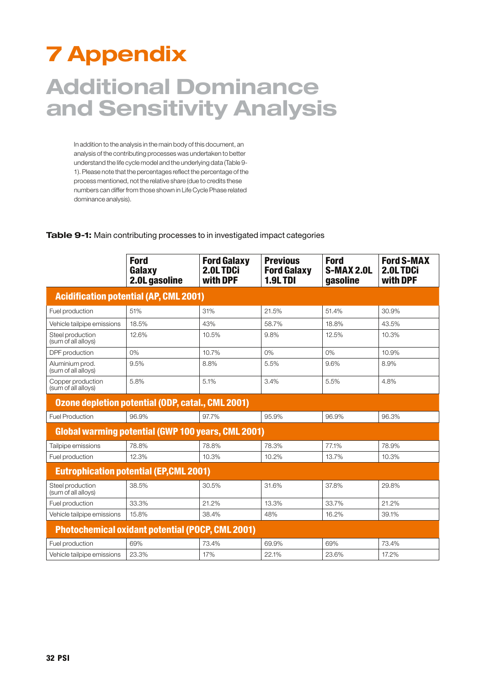# 7 Appendix

## Additional Dominance and Sensitivity Analysis

In addition to the analysis in the main body of this document, an analysis of the contributing processes was undertaken to better understand the life cycle model and the underlying data (Table 9- 1). Please note that the percentages reflect the percentage of the process mentioned, not the relative share (due to credits these numbers can differ from those shown in Life Cycle Phase related dominance analysis).

|                                          | <b>Ford</b><br>Galaxy<br>2.0L gasoline                    | <b>Ford Galaxy</b><br>2.0LTDCi<br>with DPF | <b>Previous</b><br><b>Ford Galaxy</b><br><b>1.9L TDI</b> | <b>Ford</b><br>S-MAX 2.0L<br>gasoline | <b>Ford S-MAX</b><br>2.0L TDCi<br>with DPF |
|------------------------------------------|-----------------------------------------------------------|--------------------------------------------|----------------------------------------------------------|---------------------------------------|--------------------------------------------|
|                                          | <b>Acidification potential (AP, CML 2001)</b>             |                                            |                                                          |                                       |                                            |
| Fuel production                          | 51%                                                       | 31%                                        | 21.5%                                                    | 51.4%                                 | 30.9%                                      |
| Vehicle tailpipe emissions               | 18.5%                                                     | 43%                                        | 58.7%                                                    | 18.8%                                 | 43.5%                                      |
| Steel production<br>(sum of all alloys)  | 12.6%                                                     | 10.5%                                      | 9.8%                                                     | 12.5%                                 | 10.3%                                      |
| DPF production                           | 0%                                                        | 10.7%                                      | 0%                                                       | 0%                                    | 10.9%                                      |
| Aluminium prod.<br>(sum of all alloys)   | 9.5%                                                      | 8.8%                                       | 5.5%                                                     | 9.6%                                  | 8.9%                                       |
| Copper production<br>(sum of all alloys) | 5.8%                                                      | 5.1%                                       | 3.4%                                                     | 5.5%                                  | 4.8%                                       |
|                                          | Ozone depletion potential (ODP, catal., CML 2001)         |                                            |                                                          |                                       |                                            |
| <b>Fuel Production</b>                   | 96.9%                                                     | 97.7%                                      | 95.9%                                                    | 96.9%                                 | 96.3%                                      |
|                                          | <b>Global warming potential (GWP 100 years, CML 2001)</b> |                                            |                                                          |                                       |                                            |
| Tailpipe emissions                       | 78.8%                                                     | 78.8%                                      | 78.3%                                                    | 77.1%                                 | 78.9%                                      |
| Fuel production                          | 12.3%                                                     | 10.3%                                      | 10.2%                                                    | 13.7%                                 | 10.3%                                      |
|                                          | <b>Eutrophication potential (EP, CML 2001)</b>            |                                            |                                                          |                                       |                                            |
| Steel production<br>(sum of all alloys)  | 38.5%                                                     | 30.5%                                      | 31.6%                                                    | 37.8%                                 | 29.8%                                      |
| Fuel production                          | 33.3%                                                     | 21.2%                                      | 13.3%                                                    | 33.7%                                 | 21.2%                                      |
| Vehicle tailpipe emissions               | 15.8%                                                     | 38.4%                                      | 48%                                                      | 16.2%                                 | 39.1%                                      |
|                                          | <b>Photochemical oxidant potential (POCP, CML 2001)</b>   |                                            |                                                          |                                       |                                            |
| Fuel production                          | 69%                                                       | 73.4%                                      | 69.9%                                                    | 69%                                   | 73.4%                                      |
| Vehicle tailpipe emissions               | 23.3%                                                     | 17%                                        | 22.1%                                                    | 23.6%                                 | 17.2%                                      |

**Table 9-1:** Main contributing processes to in investigated impact categories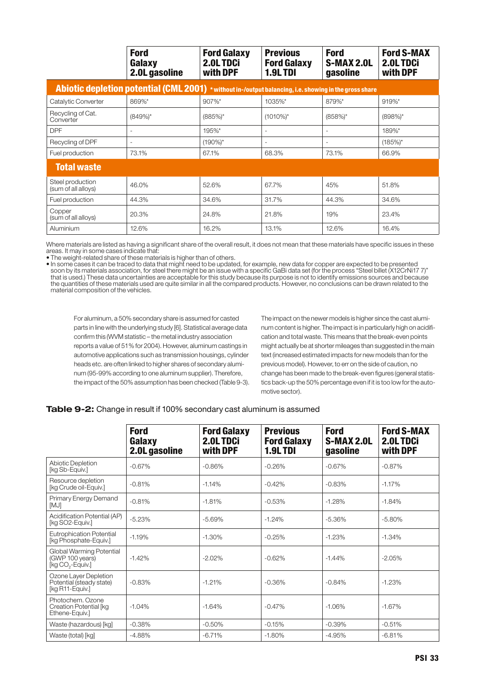|                                         | <b>Ford</b><br>Galaxy<br>2.0L gasoline                                                                 | <b>Ford Galaxy</b><br>2.0L TDCi<br>with DPF | <b>Previous</b><br><b>Ford Galaxy</b><br><b>1.9LTDI</b> | <b>Ford</b><br><b>S-MAX 2.0L</b><br>gasoline | <b>Ford S-MAX</b><br>2.0LTDCi<br>with DPF |
|-----------------------------------------|--------------------------------------------------------------------------------------------------------|---------------------------------------------|---------------------------------------------------------|----------------------------------------------|-------------------------------------------|
|                                         | Abiotic depletion potential (CML 2001) * without in-/output balancing, i.e. showing in the gross share |                                             |                                                         |                                              |                                           |
| Catalytic Converter                     | 869%*                                                                                                  | 907%*                                       | 1035%*                                                  | 879%*                                        | 919%*                                     |
| Recycling of Cat.<br>Converter          | $(849%)^*$                                                                                             | $(885%)$ *                                  | $(1010\%)^*$                                            | $(858\%)^*$                                  | $(898%)^*$                                |
| <b>DPF</b>                              | ٠                                                                                                      | 195%*                                       | ٠                                                       | ٠                                            | 189%*                                     |
| Recycling of DPF                        | $\overline{\phantom{a}}$                                                                               | $(190\%)^*$                                 | ٠                                                       | $\overline{\phantom{a}}$                     | $(185%)^*$                                |
| Fuel production                         | 73.1%                                                                                                  | 67.1%                                       | 68.3%                                                   | 73.1%                                        | 66.9%                                     |
| <b>Total waste</b>                      |                                                                                                        |                                             |                                                         |                                              |                                           |
| Steel production<br>(sum of all alloys) | 46.0%                                                                                                  | 52.6%                                       | 67.7%                                                   | 45%                                          | 51.8%                                     |
| Fuel production                         | 44.3%                                                                                                  | 34.6%                                       | 31.7%                                                   | 44.3%                                        | 34.6%                                     |
| Copper<br>(sum of all alloys)           | 20.3%                                                                                                  | 24.8%                                       | 21.8%                                                   | 19%                                          | 23.4%                                     |
| Aluminium                               | 12.6%                                                                                                  | 16.2%                                       | 13.1%                                                   | 12.6%                                        | 16.4%                                     |

Where materials are listed as having a significant share of the overall result, it does not mean that these materials have specific issues in these areas. It may in some cases indicate that:

• The weight-related share of these materials is higher than of others.

• In some cases it can be traced to data that might need to be updated, for example, new data for copper are expected to be presented soon by its materials association, for steel there might be an issue with a specific GaBi data set (for the process "Steel billet (X12CrNi17 7)" that is used.) These data uncertainties are acceptable for this study because its purpose is not to identify emissions sources and because the quantities of these materials used are quite similar in all the compared products. However, no conclusions can be drawn related to the material composition of the vehicles.

For aluminum, a 50% secondary share is assumed for casted parts in line with the underlying study [6]. Statistical average data confirm this (WVM statistic – the metal industry association reports a value of 51% for 2004). However, aluminum castings in automotive applications such as transmission housings, cylinder heads etc. are often linked to higher shares of secondary aluminum (95-99% according to one aluminum supplier). Therefore, the impact of the 50% assumption has been checked (Table 9-3). The impact on the newer models is higher since the cast aluminum content is higher. The impact is in particularly high on acidification and total waste. This means that the break-even points might actually be at shorter mileages than suggested in the main text (increased estimated impacts for new models than for the previous model). However, to err on the side of caution, no change has been made to the break-even figures (general statistics back-up the 50% percentage even if it is too low for the automotive sector).

#### **Table 9-2:** Change in result if 100% secondary cast aluminum is assumed

|                                                                             | <b>Ford</b><br>Galaxy<br>2.0L gasoline | <b>Ford Galaxy</b><br>2.0LTDCi<br>with DPF | <b>Previous</b><br><b>Ford Galaxy</b><br><b>1.9L TDI</b> | <b>Ford</b><br><b>S-MAX 2.0L</b><br>gasoline | <b>Ford S-MAX</b><br>2.0L TDCi<br>with DPF |
|-----------------------------------------------------------------------------|----------------------------------------|--------------------------------------------|----------------------------------------------------------|----------------------------------------------|--------------------------------------------|
| <b>Abiotic Depletion</b><br>[kg Sb-Equiv.]                                  | $-0.67%$                               | $-0.86%$                                   | $-0.26%$                                                 | $-0.67%$                                     | $-0.87%$                                   |
| Resource depletion<br>[kg Crude oil-Equiv.]                                 | $-0.81%$                               | $-1.14%$                                   | $-0.42%$                                                 | $-0.83%$                                     | $-1.17%$                                   |
| Primary Energy Demand<br>[MJ]                                               | $-0.81%$                               | $-1.81%$                                   | $-0.53%$                                                 | $-1.28%$                                     | $-1.84%$                                   |
| Acidification Potential (AP)<br>[kg SO2-Equiv.]                             | $-5.23%$                               | $-5.69%$                                   | $-1.24%$                                                 | $-5.36%$                                     | $-5.80%$                                   |
| <b>Eutrophication Potential</b><br>[kg Phosphate-Equiv.]                    | $-1.19%$                               | $-1.30%$                                   | $-0.25%$                                                 | $-1.23%$                                     | $-1.34%$                                   |
| Global Warming Potential<br>(GWP 100 years)<br>[kg CO <sub>2</sub> -Equiv.] | $-1.42%$                               | $-2.02%$                                   | $-0.62%$                                                 | $-1.44%$                                     | $-2.05%$                                   |
| Ozone Layer Depletion<br>Potential (steady state)<br>[kg R11-Equiv.]        | $-0.83%$                               | $-1.21%$                                   | $-0.36%$                                                 | $-0.84%$                                     | $-1.23%$                                   |
| Photochem, Ozone<br>Creation Potential [kg<br>Ethene-Equiv.]                | $-1.04%$                               | $-1.64%$                                   | $-0.47%$                                                 | $-1.06%$                                     | $-1.67%$                                   |
| Waste (hazardous) [kg]                                                      | $-0.38%$                               | $-0.50%$                                   | $-0.15%$                                                 | $-0.39%$                                     | $-0.51%$                                   |
| Waste (total) [kg]                                                          | $-4.88%$                               | $-6.71%$                                   | $-1.80%$                                                 | $-4.95%$                                     | $-6.81%$                                   |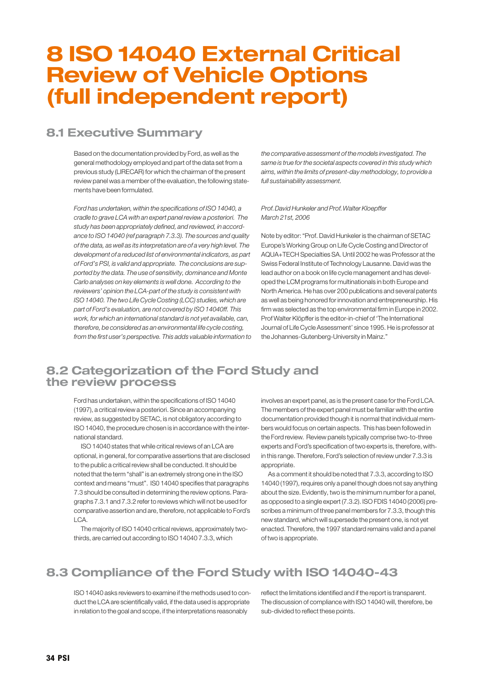## 8 ISO 14040 External Critical Review of Vehicle Options (full independent report)

### 8.1 Executive Summary

Based on the documentation provided by Ford, as well as the general methodology employed and part of the data set from a previous study (LIRECAR) for which the chairman of the present review panel was a member of the evaluation, the following statements have been formulated.

Ford has undertaken, within the specifications of ISO 14040, a cradle to grave LCA with an expert panel review a posteriori. The study has been appropriately defined, and reviewed, in accordance to ISO 14040 (ref paragraph 7.3.3). The sources and quality of the data, as well as its interpretation are of a very high level. The development of a reduced list of environmental indicators, as part of Ford's PSI, is valid and appropriate. The conclusions are supported by the data. The use of sensitivity, dominance and Monte Carlo analyses on key elements is well done. According to the reviewers' opinion the LCA-part of the study is consistent with ISO 14040. The two Life Cycle Costing (LCC) studies, which are part of Ford's evaluation, are not covered by ISO 14040ff. This work, for which an international standard is not yet available, can, therefore, be considered as an environmental life cycle costing, from the first user's perspective. This adds valuable information to the comparative assessment of the models investigated. The same is true for the societal aspects covered in this study which aims, within the limits of present-day methodology, to provide a full sustainability assessment.

#### Prof. David Hunkeler and Prof. Walter Kloepffer March 21st, 2006

Note by editor:"Prof.David Hunkeler is the chairman of SETAC Europe's Working Group on Life Cycle Costing and Director of AQUA+TECH Specialties SA.Until 2002 he was Professor at the Swiss Federal Institute of Technology Lausanne. David was the lead author on a book on life cycle management and has developed the LCM programs for multinationals in both Europe and North America. He has over 200 publications and several patents as well as being honored for innovation and entrepreneurship. His firm was selected as the top environmental firm in Europe in 2002. Prof Walter Klöpffer is the editor-in-chief of 'The International Journal of Life Cycle Assessment' since 1995. He is professor at the Johannes-Gutenberg-University in Mainz."

### 8.2 Categorization of the Ford Study and the review process

Ford has undertaken, within the specifications of ISO 14040 (1997), a critical review a posteriori. Since an accompanying review, as suggested by SETAC, is not obligatory according to ISO 14040, the procedure chosen is in accordance with the international standard.

ISO 14040 states that while critical reviews of an LCA are optional, in general, for comparative assertions that are disclosed to the public a critical review shall be conducted. It should be noted that the term "shall" is an extremely strong one in the ISO context and means "must". IS0 14040 specifies that paragraphs 7.3 should be consulted in determining the review options. Paragraphs 7.3.1 and 7.3.2 refer to reviews which will not be used for comparative assertion and are, therefore, not applicable to Ford's LCA.

The majority of ISO 14040 critical reviews, approximately twothirds, are carried out according to ISO 14040 7.3.3, which

involves an expert panel, as is the present case for the Ford LCA. The members of the expert panel must be familiar with the entire documentation provided though it is normal that individual members would focus on certain aspects. This has been followed in the Ford review. Review panels typically comprise two-to-three experts and Ford's specification of two experts is, therefore, within this range. Therefore, Ford's selection of review under 7.3.3 is appropriate.

As a comment it should be noted that 7.3.3, according to ISO 14040 (1997), requires only a panel though does not say anything about the size. Evidently, two is the minimum number for a panel, as opposed to a single expert (7.3.2). ISO FDIS 14040 (2006) prescribes a minimum of three panel members for 7.3.3, though this new standard, which will supersede the present one, is not yet enacted. Therefore, the 1997 standard remains valid and a panel of two is appropriate.

## 8.3 Compliance of the Ford Study with ISO 14040-43

ISO 14040 asks reviewers to examine if the methods used to conduct the LCA are scientifically valid, if the data used is appropriate in relation to the goal and scope, if the interpretations reasonably

reflect the limitations identified and if the report is transparent. The discussion of compliance with ISO 14040 will, therefore, be sub-divided to reflect these points.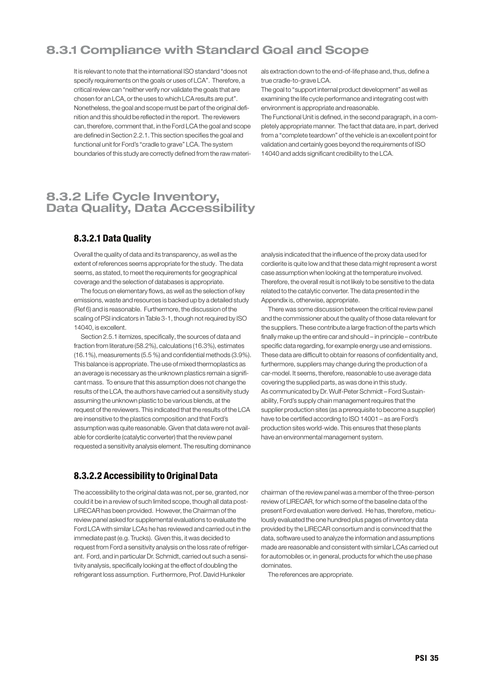### 8.3.1 Compliance with Standard Goal and Scope

It is relevant to note that the international ISO standard "does not specify requirements on the goals or uses of LCA". Therefore, a critical review can "neither verify nor validate the goals that are chosen for an LCA, or the uses to which LCA results are put". Nonetheless, the goal and scope must be part of the original definition and this should be reflected in the report. The reviewers can, therefore, comment that, in the Ford LCA the goal and scope are defined in Section 2.2.1. This section specifies the goal and functional unit for Ford's "cradle to grave" LCA. The system boundaries of this study are correctly defined from the raw materi-

8.3.2 Life Cycle Inventory, Data Quality, Data Accessibility

### 8.3.2.1 Data Quality

Overall the quality of data and its transparency, as well as the extent of references seems appropriate for the study. The data seems, as stated, to meet the requirements for geographical coverage and the selection of databases is appropriate.

The focus on elementary flows, as well as the selection of key emissions, waste and resources is backed up by a detailed study (Ref 6) and is reasonable. Furthermore, the discussion of the scaling of PSI indicators in Table 3-1, though not required by ISO 14040, is excellent.

Section 2.5.1 itemizes, specifically, the sources of data and fraction from literature (58.2%), calculations (16.3%), estimates (16.1%), measurements (5.5 %) and confidential methods (3.9%). This balance is appropriate. The use of mixed thermoplastics as an average is necessary as the unknown plastics remain a significant mass. To ensure that this assumption does not change the results of the LCA, the authors have carried out a sensitivity study assuming the unknown plastic to be various blends, at the request of the reviewers. This indicated that the results of the LCA are insensitive to the plastics composition and that Ford's assumption was quite reasonable. Given that data were not available for cordierite (catalytic converter) that the review panel requested a sensitivity analysis element. The resulting dominance als extraction down to the end-of-life phase and, thus, define a true cradle-to-grave LCA.

The goal to "support internal product development" as well as examining the life cycle performance and integrating cost with environment is appropriate and reasonable.

The Functional Unit is defined, in the second paragraph, in a completely appropriate manner. The fact that data are, in part, derived from a "complete teardown" of the vehicle is an excellent point for validation and certainly goes beyond the requirements of ISO 14040 and adds significant credibility to the LCA.

analysis indicated that the influence of the proxy data used for cordierite is quite low and that these data might represent a worst case assumption when looking at the temperature involved. Therefore, the overall result is not likely to be sensitive to the data related to the catalytic converter. The data presented in the Appendix is, otherwise, appropriate.

There was some discussion between the critical review panel and the commissioner about the quality of those data relevant for the suppliers. These contribute a large fraction of the parts which finally make up the entire car and should – in principle – contribute specific data regarding, for example energy use and emissions. These data are difficult to obtain for reasons of confidentiality and, furthermore, suppliers may change during the production of a car-model. It seems, therefore, reasonable to use average data covering the supplied parts, as was done in this study. As communicated by Dr. Wulf-Peter Schmidt – Ford Sustainability, Ford's supply chain management requires that the supplier production sites (as a prerequisite to become a supplier) have to be certified according to ISO 14001 – as are Ford's production sites world-wide. This ensures that these plants have an environmental management system.

### 8.3.2.2 Accessibility to Original Data

The accessibility to the original data was not, per se, granted, nor could it be in a review of such limited scope, though all data post-LIRECAR has been provided. However, the Chairman of the review panel asked for supplemental evaluations to evaluate the Ford LCA with similar LCAs he has reviewed and carried out in the immediate past (e.g. Trucks). Given this, it was decided to request from Ford a sensitivity analysis on the loss rate of refrigerant. Ford, and in particular Dr. Schmidt, carried out such a sensitivity analysis, specifically looking at the effect of doubling the refrigerant loss assumption. Furthermore, Prof.David Hunkeler

chairman of the review panel was a member of the three-person review of LIRECAR, for which some of the baseline data of the present Ford evaluation were derived. He has, therefore, meticulously evaluated the one hundred plus pages of inventory data provided by the LIRECAR consortium and is convinced that the data, software used to analyze the information and assumptions made are reasonable and consistent with similar LCAs carried out for automobiles or, in general, products for which the use phase dominates.

The references are appropriate.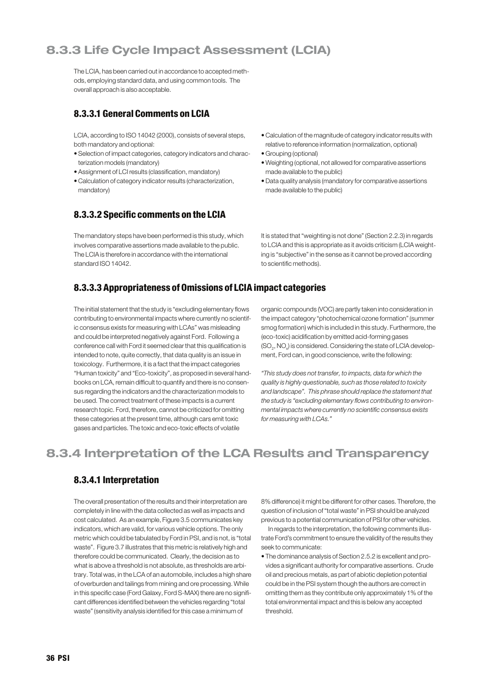## 8.3.3 Life Cycle Impact Assessment (LCIA)

The LCIA, has been carried out in accordance to accepted methods, employing standard data, and using common tools. The overall approach is also acceptable.

### 8.3.3.1 General Comments on LCIA

LCIA, according to ISO 14042 (2000), consists of several steps, both mandatory and optional:

- Selection of impact categories, category indicators and characterization models (mandatory)
- Assignment of LCI results (classification, mandatory)
- Calculation of category indicator results (characterization, mandatory)

### 8.3.3.2 Specific comments on the LCIA

The mandatory steps have been performed is this study, which involves comparative assertions made available to the public. The LCIA is therefore in accordance with the international standard ISO 14042.

- Calculation of the magnitude of category indicator results with relative to reference information (normalization, optional)
- Grouping (optional)
- Weighting (optional, not allowed for comparative assertions made available to the public)
- Data quality analysis (mandatory for comparative assertions made available to the public)

It is stated that"weighting is not done"(Section 2.2.3) in regards to LCIA and this is appropriate as it avoids criticism (LCIA weighting is "subjective"in the sense as it cannot be proved according to scientific methods).

### 8.3.3.3 Appropriateness of Omissions of LCIA impact categories

The initial statement that the study is "excluding elementary flows contributing to environmental impacts where currently no scientific consensus exists for measuring with LCAs" was misleading and could be interpreted negatively against Ford. Following a conference call with Ford it seemed clear that this qualification is intended to note, quite correctly, that data quality is an issue in toxicology. Furthermore, it is a fact that the impact categories "Human toxicity" and "Eco-toxicity", as proposed in several handbooks on LCA, remain difficult to quantify and there is no consensus regarding the indicators and the characterization models to be used. The correct treatment of these impacts is a current research topic. Ford, therefore, cannot be criticized for omitting these categories at the present time, although cars emit toxic gases and particles. The toxic and eco-toxic effects of volatile

organic compounds (VOC) are partly taken into consideration in the impact category "photochemical ozone formation"(summer smog formation) which is included in this study. Furthermore, the (eco-toxic) acidification by emitted acid-forming gases  $\left(\mathsf{SO}_2,\mathsf{NO}\right)$  is considered. Considering the state of LCIA development, Ford can, in good conscience, write the following:

"This study does not transfer, to impacts, data for which the quality is highly questionable, such as those related to toxicity and landscape". This phrase should replace the statement that the study is "excluding elementary flows contributing to environmental impacts where currently no scientific consensus exists for measuring with LCAs."

## 8.3.4 Interpretation of the LCA Results and Transparency

### 8.3.4.1 Interpretation

The overall presentation of the results and their interpretation are completely in line with the data collected as well as impacts and cost calculated. As an example, Figure 3.5 communicates key indicators, which are valid, for various vehicle options. The only metric which could be tabulated by Ford in PSI, and is not, is "total waste". Figure 3.7 illustrates that this metric is relatively high and therefore could be communicated. Clearly, the decision as to what is above a threshold is not absolute, as thresholds are arbitrary. Total was, in the LCA of an automobile, includes a high share of overburden and tailings from mining and ore processing. While in this specific case (Ford Galaxy, Ford S-MAX) there are no significant differences identified between the vehicles regarding "total waste"(sensitivity analysis identified for this case a minimum of

8% difference) it might be different for other cases. Therefore, the question of inclusion of"total waste"in PSI should be analyzed previous to a potential communication of PSI for other vehicles.

In regards to the interpretation, the following comments illustrate Ford's commitment to ensure the validity of the results they seek to communicate:

• The dominance analysis of Section 2.5.2 is excellent and provides a significant authority for comparative assertions. Crude oil and precious metals, as part of abiotic depletion potential could be in the PSI system though the authors are correct in omitting them as they contribute only approximately 1% of the total environmental impact and this is below any accepted threshold.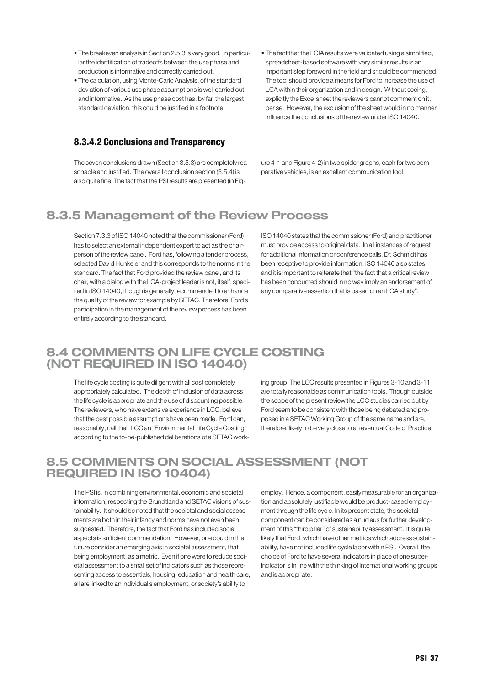- The breakeven analysis in Section 2.5.3 is very good. In particular the identification of tradeoffs between the use phase and production is informative and correctly carried out.
- The calculation, using Monte-Carlo Analysis, of the standard deviation of various use phase assumptions is well carried out and informative. As the use phase cost has, by far, the largest standard deviation, this could be justified in a footnote.

### 8.3.4.2 Conclusions and Transparency

The seven conclusions drawn (Section 3.5.3) are completely reasonable and justified. The overall conclusion section (3.5.4) is also quite fine. The fact that the PSI results are presented (in Fig• The fact that the LCIA results were validated using a simplified, spreadsheet-based software with very similar results is an important step foreword in the field and should be commended. The tool should provide a means for Ford to increase the use of LCA within their organization and in design. Without seeing, explicitly the Excel sheet the reviewers cannot comment on it, per se. However, the exclusion of the sheet would in no manner influence the conclusions of the review under ISO 14040.

ure 4-1 and Figure 4-2) in two spider graphs, each for two comparative vehicles, is an excellent communication tool.

### 8.3.5 Management of the Review Process

Section 7.3.3 of ISO 14040 noted that the commissioner (Ford) has to select an external independent expert to act as the chairperson of the review panel. Ford has, following a tender process, selected David Hunkeler and this corresponds to the norms in the standard. The fact that Ford provided the review panel, and its chair, with a dialog with the LCA-project leader is not, itself, specified in ISO 14040, though is generally recommended to enhance the quality of the review for example by SETAC. Therefore, Ford's participation in the management of the review process has been entirely according to the standard.

ISO 14040 states that the commissioner (Ford) and practitioner must provide access to original data. In all instances of request for additional information or conference calls, Dr. Schmidt has been receptive to provide information. ISO 14040 also states, and it is important to reiterate that "the fact that a critical review has been conducted should in no way imply an endorsement of any comparative assertion that is based on an LCA study".

### 8.4 COMMENTS ON LIFE CYCLE COSTING (NOT REQUIRED IN ISO 14040)

The life cycle costing is quite diligent with all cost completely appropriately calculated. The depth of inclusion of data across the life cycle is appropriate and the use of discounting possible. The reviewers, who have extensive experience in LCC, believe that the best possible assumptions have been made. Ford can, reasonably, call their LCC an "Environmental Life Cycle Costing" according to the to-be-published deliberations of a SETAC working group. The LCC results presented in Figures 3-10 and 3-11 are totally reasonable as communication tools. Though outside the scope of the present review the LCC studies carried out by Ford seem to be consistent with those being debated and proposed in a SETAC Working Group of the same name and are, therefore, likely to be very close to an eventual Code of Practice.

### 8.5 COMMENTS ON SOCIAL ASSESSMENT (NOT REQUIRED IN ISO 10404)

The PSI is, in combining environmental, economic and societal information, respecting the Brundtland and SETAC visions of sustainability. It should be noted that the societal and social assessments are both in their infancy and norms have not even been suggested. Therefore, the fact that Ford has included social aspects is sufficient commendation. However, one could in the future consider an emerging axis in societal assessment, that being employment, as a metric. Even if one were to reduce societal assessment to a small set of indicators such as those representing access to essentials, housing, education and health care, all are linked to an individual's employment, or society's ability to

employ. Hence, a component, easily measurable for an organization and absolutely justifiable would be product-based employment through the life cycle. In its present state, the societal component can be considered as a nucleus for further development of this "third pillar" of sustainability assessment. It is quite likely that Ford, which have other metrics which address sustainability, have not included life cycle labor within PSI. Overall, the choice of Ford to have several indicators in place of one superindicator is in line with the thinking of international working groups and is appropriate.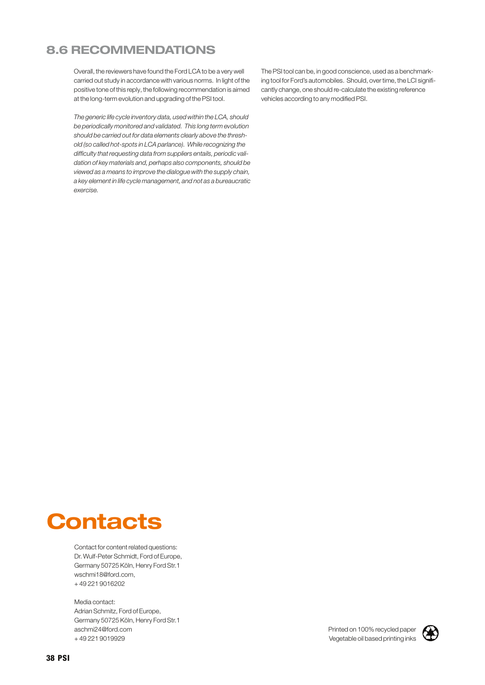### 8.6 RECOMMENDATIONS

Overall, the reviewers have found the Ford LCA to be a very well carried out study in accordance with various norms. In light of the positive tone of this reply, the following recommendation is aimed at the long-term evolution and upgrading of the PSI tool.

The generic life cycle inventory data, used within the LCA, should be periodically monitored and validated. This long term evolution should be carried out for data elements clearly above the threshold (so called hot-spots in LCA parlance). While recognizing the difficulty that requesting data from suppliers entails, periodic validation of key materials and, perhaps also components, should be viewed as a means to improve the dialogue with the supply chain, a key element in life cycle management, and not as a bureaucratic exercise.

The PSI tool can be, in good conscience, used as a benchmarking tool for Ford's automobiles. Should, over time, the LCI significantly change, one should re-calculate the existing reference vehicles according to any modified PSI.

## **Contacts**

Contact for content related questions: Dr. Wulf-Peter Schmidt, Ford of Europe, Germany 50725 Köln, Henry Ford Str.1 wschmi18@ford.com, + 49 221 9016202

Media contact: Adrian Schmitz, Ford of Europe, Germany 50725 Köln, Henry Ford Str.1 aschmi24@ford.com + 49 221 9019929

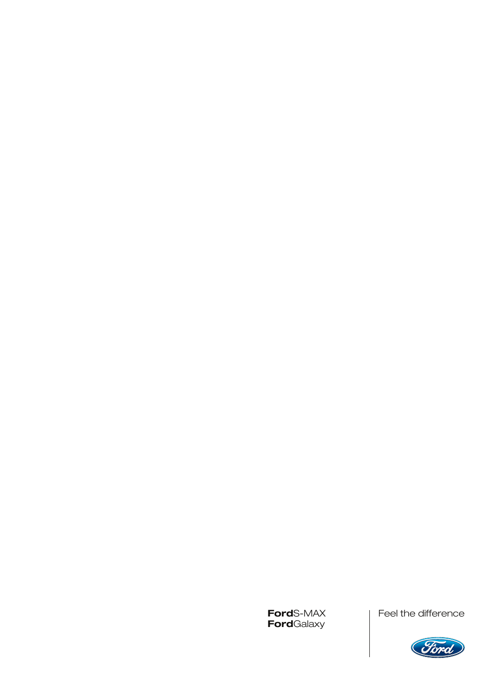**Ford**S-MAX<br>**Ford**Galaxy

Feel the difference

Feel the difference